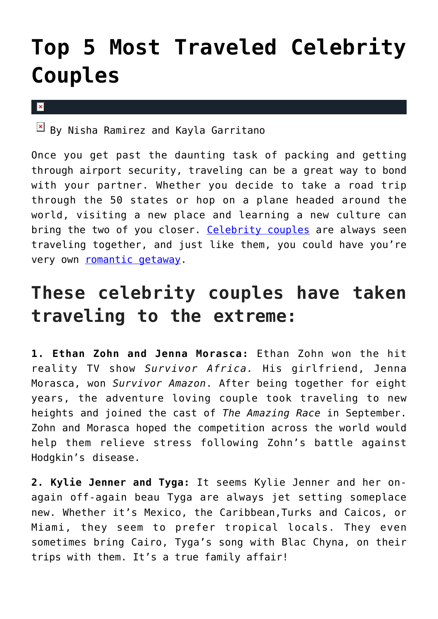## **[Top 5 Most Traveled Celebrity](https://cupidspulse.com/115748/most-traveled-celebrity-couples/) [Couples](https://cupidspulse.com/115748/most-traveled-celebrity-couples/)**

 $\mathbf x$ 

 $\boxed{\times}$  By Nisha Ramirez and Kayla Garritano

Once you get past the daunting task of packing and getting through airport security, traveling can be a great way to bond with your partner. Whether you decide to take a road trip through the 50 states or hop on a plane headed around the world, visiting a new place and learning a new culture can bring the two of you closer. [Celebrity couples](http://cupidspulse.com/celebrity-news/celebrity-dating/) are always seen traveling together, and just like them, you could have you're very own [romantic getaway.](http://cupidspulse.com/travel/)

### **These celebrity couples have taken traveling to the extreme:**

**1. Ethan Zohn and Jenna Morasca:** Ethan Zohn won the hit reality TV show *Survivor Africa.* His girlfriend, Jenna Morasca, won *Survivor Amazon*. After being together for eight years, the adventure loving couple took traveling to new heights and joined the cast of *The Amazing Race* in September. Zohn and Morasca hoped the competition across the world would help them relieve stress following Zohn's battle against Hodgkin's disease.

**2. Kylie Jenner and Tyga:** It seems Kylie Jenner and her onagain off-again beau Tyga are always jet setting someplace new. Whether it's Mexico, the Caribbean,Turks and Caicos, or Miami, they seem to prefer tropical locals. They even sometimes bring Cairo, Tyga's song with Blac Chyna, on their trips with them. It's a true family affair!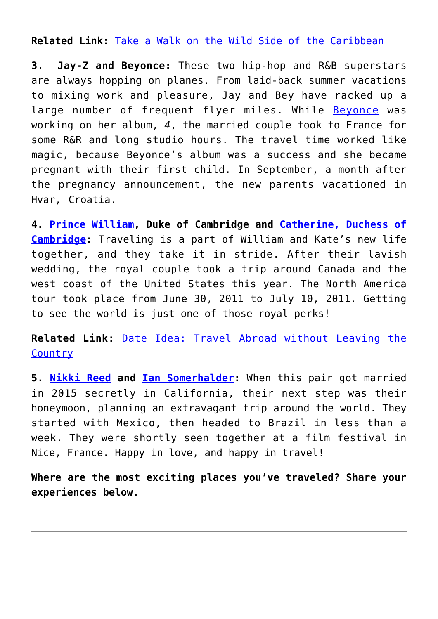**Related Link:** [Take a Walk on the Wild Side of the Caribbean](http://cupidspulse.com/22008/vacation-pirates-of-the-caribbean-getaway/) 

**3. Jay-Z and Beyonce:** These two hip-hop and R&B superstars are always hopping on planes. From laid-back summer vacations to mixing work and pleasure, Jay and Bey have racked up a large number of frequent flyer miles. While [Beyonce](http://cupidspulse.com/86087/beyonce/) was working on her album, *4*, the married couple took to France for some R&R and long studio hours. The travel time worked like magic, because Beyonce's album was a success and she became pregnant with their first child. In September, a month after the pregnancy announcement, the new parents vacationed in Hvar, Croatia.

**4. [Prince William](http://cupidspulse.com/89063/prince-william/), Duke of Cambridge and [Catherine, Duchess of](http://cupidspulse.com/89071/kate-middleton/) [Cambridge](http://cupidspulse.com/89071/kate-middleton/):** Traveling is a part of William and Kate's new life together, and they take it in stride. After their lavish wedding, the royal couple took a trip around Canada and the west coast of the United States this year. The North America tour took place from June 30, 2011 to July 10, 2011. Getting to see the world is just one of those royal perks!

**Related Link:** [Date Idea: Travel Abroad without Leaving the](http://cupidspulse.com/23123/weekend-date-idea-cultural-dates-with-your-partner/) **[Country](http://cupidspulse.com/23123/weekend-date-idea-cultural-dates-with-your-partner/)** 

**5. [Nikki Reed](http://cupidspulse.com/94263/nikki-reed/) and [Ian Somerhalder](http://cupidspulse.com/94265/ian-somerhalder/):** When this pair got married in 2015 secretly in California, their next step was their honeymoon, planning an extravagant trip around the world. They started with Mexico, then headed to Brazil in less than a week. They were shortly seen together at a film festival in Nice, France. Happy in love, and happy in travel!

**Where are the most exciting places you've traveled? Share your experiences below.**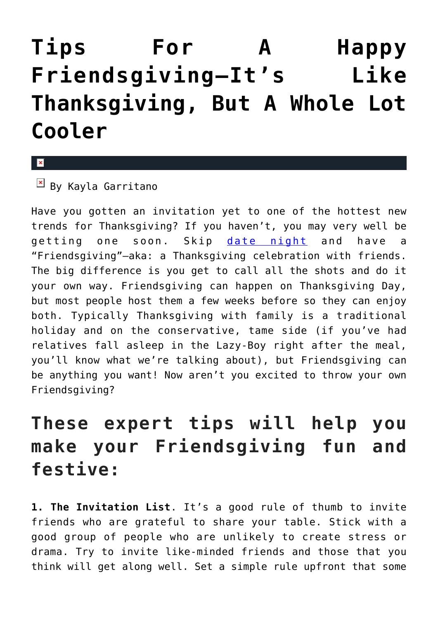# **[Tips For A Happy](https://cupidspulse.com/115702/tips-for-happy-friendsgiving/) [Friendsgiving—It's Like](https://cupidspulse.com/115702/tips-for-happy-friendsgiving/) [Thanksgiving, But A Whole Lot](https://cupidspulse.com/115702/tips-for-happy-friendsgiving/) [Cooler](https://cupidspulse.com/115702/tips-for-happy-friendsgiving/)**

#### x

 $\overline{B}$  By Kayla Garritano

Have you gotten an invitation yet to one of the hottest new trends for Thanksgiving? If you haven't, you may very well be getting one soon. Skip [date night](http://cupidspulse.com/love/weekend-date-ideas/) and have a "Friendsgiving"—aka: a Thanksgiving celebration with friends. The big difference is you get to call all the shots and do it your own way. Friendsgiving can happen on Thanksgiving Day, but most people host them a few weeks before so they can enjoy both. Typically Thanksgiving with family is a traditional holiday and on the conservative, tame side (if you've had relatives fall asleep in the Lazy-Boy right after the meal, you'll know what we're talking about), but Friendsgiving can be anything you want! Now aren't you excited to throw your own Friendsgiving?

### **These expert tips will help you make your Friendsgiving fun and festive:**

**1. The Invitation List**. It's a good rule of thumb to invite friends who are grateful to share your table. Stick with a good group of people who are unlikely to create stress or drama. Try to invite like-minded friends and those that you think will get along well. Set a simple rule upfront that some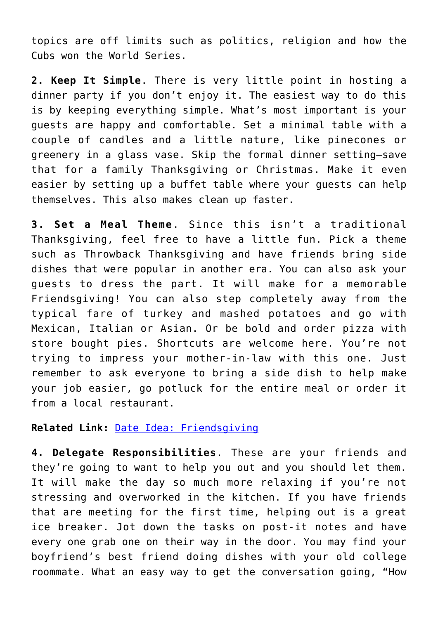topics are off limits such as politics, religion and how the Cubs won the World Series.

**2. Keep It Simple**. There is very little point in hosting a dinner party if you don't enjoy it. The easiest way to do this is by keeping everything simple. What's most important is your guests are happy and comfortable. Set a minimal table with a couple of candles and a little nature, like pinecones or greenery in a glass vase. Skip the formal dinner setting—save that for a family Thanksgiving or Christmas. Make it even easier by setting up a buffet table where your guests can help themselves. This also makes clean up faster.

**3. Set a Meal Theme**. Since this isn't a traditional Thanksgiving, feel free to have a little fun. Pick a theme such as Throwback Thanksgiving and have friends bring side dishes that were popular in another era. You can also ask your guests to dress the part. It will make for a memorable Friendsgiving! You can also step completely away from the typical fare of turkey and mashed potatoes and go with Mexican, Italian or Asian. Or be bold and order pizza with store bought pies. Shortcuts are welcome here. You're not trying to impress your mother-in-law with this one. Just remember to ask everyone to bring a side dish to help make your job easier, go potluck for the entire meal or order it from a local restaurant.

#### **Related Link:** [Date Idea: Friendsgiving](http://cupidspulse.com/53165/date-idea-friendsgiving/)

**4. Delegate Responsibilities**. These are your friends and they're going to want to help you out and you should let them. It will make the day so much more relaxing if you're not stressing and overworked in the kitchen. If you have friends that are meeting for the first time, helping out is a great ice breaker. Jot down the tasks on post-it notes and have every one grab one on their way in the door. You may find your boyfriend's best friend doing dishes with your old college roommate. What an easy way to get the conversation going, "How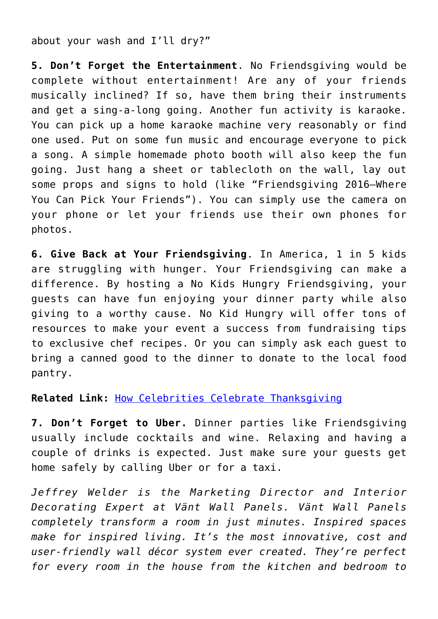about your wash and I'll dry?"

**5. Don't Forget the Entertainment**. No Friendsgiving would be complete without entertainment! Are any of your friends musically inclined? If so, have them bring their instruments and get a sing-a-long going. Another fun activity is karaoke. You can pick up a home karaoke machine very reasonably or find one used. Put on some fun music and encourage everyone to pick a song. A simple homemade photo booth will also keep the fun going. Just hang a sheet or tablecloth on the wall, lay out some props and signs to hold (like "Friendsgiving 2016—Where You Can Pick Your Friends"). You can simply use the camera on your phone or let your friends use their own phones for photos.

**6. Give Back at Your Friendsgiving**. In America, 1 in 5 kids are struggling with hunger. Your Friendsgiving can make a difference. By hosting a No Kids Hungry Friendsgiving, your guests can have fun enjoying your dinner party while also giving to a worthy cause. No Kid Hungry will offer tons of resources to make your event a success from fundraising tips to exclusive chef recipes. Or you can simply ask each guest to bring a canned good to the dinner to donate to the local food pantry.

**Related Link:** [How Celebrities Celebrate Thanksgiving](http://cupidspulse.com/60823/celebrity-celebrate-thanksgiving/)

**7. Don't Forget to Uber.** Dinner parties like Friendsgiving usually include cocktails and wine. Relaxing and having a couple of drinks is expected. Just make sure your guests get home safely by calling Uber or for a taxi.

*Jeffrey Welder is the Marketing Director and Interior Decorating Expert at Vänt Wall Panels. Vänt Wall Panels completely transform a room in just minutes. Inspired spaces make for inspired living. It's the most innovative, cost and user-friendly wall décor system ever created. They're perfect for every room in the house from the kitchen and bedroom to*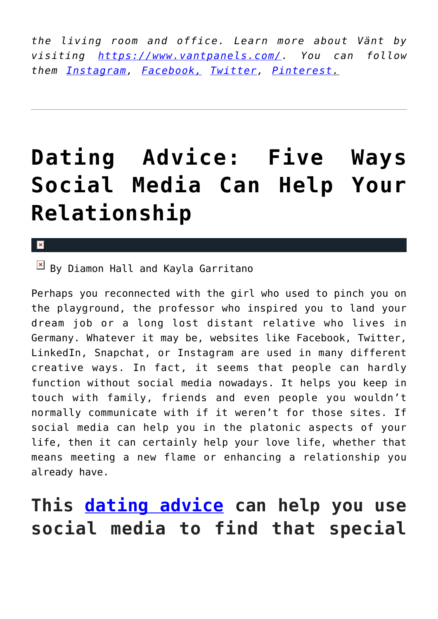*the living room and office. Learn more about Vänt by visiting <https://www.vantpanels.com/>. You can follow them [Instagram](https://www.instagram.com/vantpanels/), [Facebook,](https://www.facebook.com/vantpanels) [Twitter,](https://twitter.com/vantpanels) [Pinterest](https://www.pinterest.com/vantpanels/).*

# **[Dating Advice: Five Ways](https://cupidspulse.com/115699/social-media-help-your-relationship/) [Social Media Can Help Your](https://cupidspulse.com/115699/social-media-help-your-relationship/) [Relationship](https://cupidspulse.com/115699/social-media-help-your-relationship/)**

#### $\overline{\mathbf{x}}$

 $\boxed{\times}$  By Diamon Hall and Kayla Garritano

Perhaps you reconnected with the girl who used to pinch you on the playground, the professor who inspired you to land your dream job or a long lost distant relative who lives in Germany. Whatever it may be, websites like Facebook, Twitter, LinkedIn, Snapchat, or Instagram are used in many different creative ways. In fact, it seems that people can hardly function without social media nowadays. It helps you keep in touch with family, friends and even people you wouldn't normally communicate with if it weren't for those sites. If social media can help you in the platonic aspects of your life, then it can certainly help your love life, whether that means meeting a new flame or enhancing a relationship you already have.

### **This [dating advice](http://cupidspulse.com/love/relationship-advice-articles/) can help you use social media to find that special**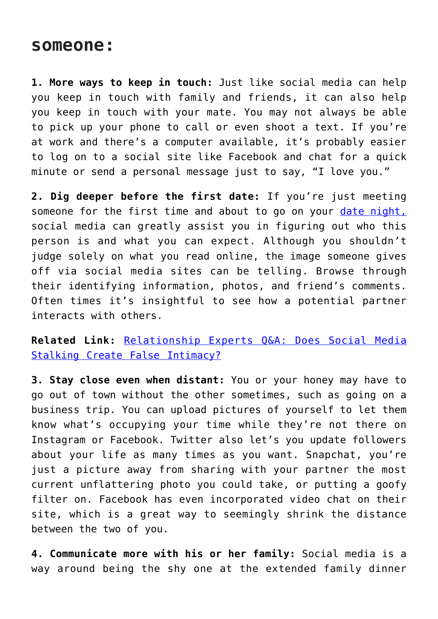### **someone:**

**1. More ways to keep in touch:** Just like social media can help you keep in touch with family and friends, it can also help you keep in touch with your mate. You may not always be able to pick up your phone to call or even shoot a text. If you're at work and there's a computer available, it's probably easier to log on to a social site like Facebook and chat for a quick minute or send a personal message just to say, "I love you."

**2. Dig deeper before the first date:** If you're just meeting someone for the first time and about to go on your [date night,](http://cupidspulse.com/love/weekend-date-ideas/) social media can greatly assist you in figuring out who this person is and what you can expect. Although you shouldn't judge solely on what you read online, the image someone gives off via social media sites can be telling. Browse through their identifying information, photos, and friend's comments. Often times it's insightful to see how a potential partner interacts with others.

**Related Link:** [Relationship Experts Q&A: Does Social Media](http://cupidspulse.com/100298/relationship-experts-social-media-false-intimacy/) [Stalking Create False Intimacy?](http://cupidspulse.com/100298/relationship-experts-social-media-false-intimacy/)

**3. Stay close even when distant:** You or your honey may have to go out of town without the other sometimes, such as going on a business trip. You can upload pictures of yourself to let them know what's occupying your time while they're not there on Instagram or Facebook. Twitter also let's you update followers about your life as many times as you want. Snapchat, you're just a picture away from sharing with your partner the most current unflattering photo you could take, or putting a goofy filter on. Facebook has even incorporated video chat on their site, which is a great way to seemingly shrink the distance between the two of you.

**4. Communicate more with his or her family:** Social media is a way around being the shy one at the extended family dinner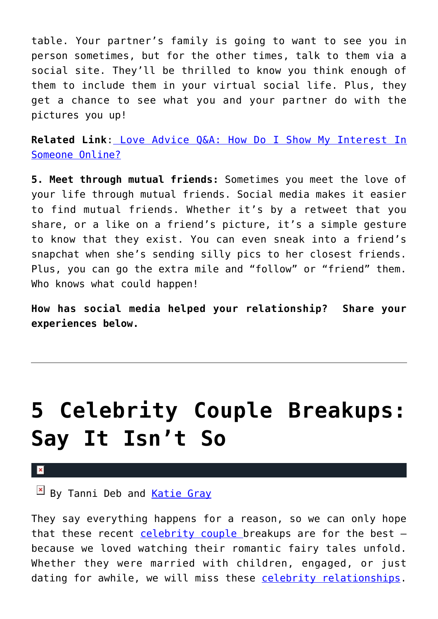table. Your partner's family is going to want to see you in person sometimes, but for the other times, talk to them via a social site. They'll be thrilled to know you think enough of them to include them in your virtual social life. Plus, they get a chance to see what you and your partner do with the pictures you up!

**Related Link**: [Love Advice Q&A: How Do I Show My Interest In](http://cupidspulse.com/99478/love-advice-show-interest-online/) [Someone Online?](http://cupidspulse.com/99478/love-advice-show-interest-online/)

**5. Meet through mutual friends:** Sometimes you meet the love of your life through mutual friends. Social media makes it easier to find mutual friends. Whether it's by a retweet that you share, or a like on a friend's picture, it's a simple gesture to know that they exist. You can even sneak into a friend's snapchat when she's sending silly pics to her closest friends. Plus, you can go the extra mile and "follow" or "friend" them. Who knows what could happen!

**How has social media helped your relationship? Share your experiences below.**

## **[5 Celebrity Couple Breakups:](https://cupidspulse.com/115682/celebrity-couple-breakups/) [Say It Isn't So](https://cupidspulse.com/115682/celebrity-couple-breakups/)**

#### $\pmb{\times}$

 $B$  By Tanni Deb and [Katie Gray](http://cupidspulse.com/105088/katie-gray)

They say everything happens for a reason, so we can only hope that these recent  $\frac{\text{velocity}}{\text{coub}}$  couple breakups are for the best  $$ because we loved watching their romantic fairy tales unfold. Whether they were married with children, engaged, or just dating for awhile, we will miss these [celebrity relationships.](http://cupidspulse.com/celebrity-relationships/long-term-relationships)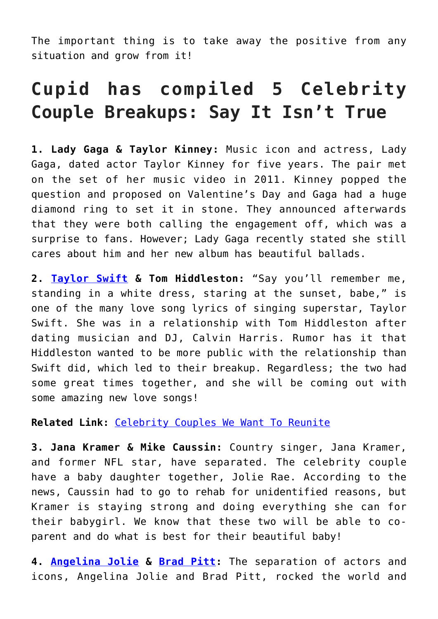The important thing is to take away the positive from any situation and grow from it!

### **Cupid has compiled 5 Celebrity Couple Breakups: Say It Isn't True**

**1. Lady Gaga & Taylor Kinney:** Music icon and actress, Lady Gaga, dated actor Taylor Kinney for five years. The pair met on the set of her music video in 2011. Kinney popped the question and proposed on Valentine's Day and Gaga had a huge diamond ring to set it in stone. They announced afterwards that they were both calling the engagement off, which was a surprise to fans. However; Lady Gaga recently stated she still cares about him and her new album has beautiful ballads.

**2. [Taylor Swift](http://cupidspulse.com/86081/taylor-swift/) & Tom Hiddleston:** "Say you'll remember me, standing in a white dress, staring at the sunset, babe," is one of the many love song lyrics of singing superstar, Taylor Swift. She was in a relationship with Tom Hiddleston after dating musician and DJ, Calvin Harris. Rumor has it that Hiddleston wanted to be more public with the relationship than Swift did, which led to their breakup. Regardless; the two had some great times together, and she will be coming out with some amazing new love songs!

#### **Related Link:** [Celebrity Couples We Want To Reunite](http://cupidspulse.com/112675/celebrity-couples-we-want-to-reunite/)

**3. Jana Kramer & Mike Caussin:** Country singer, Jana Kramer, and former NFL star, have separated. The celebrity couple have a baby daughter together, Jolie Rae. According to the news, Caussin had to go to rehab for unidentified reasons, but Kramer is staying strong and doing everything she can for their babygirl. We know that these two will be able to coparent and do what is best for their beautiful baby!

**4. [Angelina Jolie](http://cupidspulse.com/86085/angelina-jolie/) & [Brad Pitt:](http://cupidspulse.com/88145/brad-pitt/)** The separation of actors and icons, Angelina Jolie and Brad Pitt, rocked the world and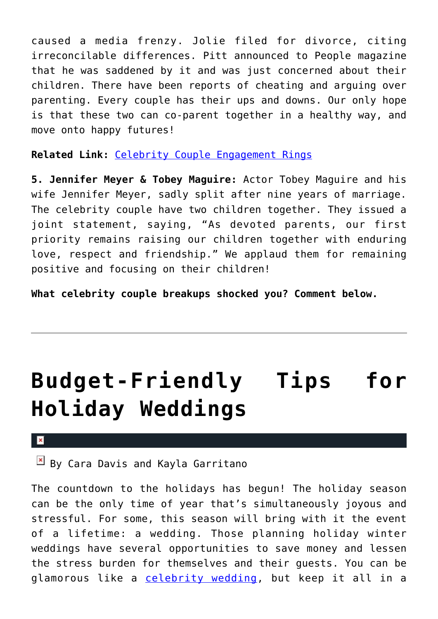caused a media frenzy. Jolie filed for divorce, citing irreconcilable differences. Pitt announced to People magazine that he was saddened by it and was just concerned about their children. There have been reports of cheating and arguing over parenting. Every couple has their ups and downs. Our only hope is that these two can co-parent together in a healthy way, and move onto happy futures!

**Related Link:** [Celebrity Couple Engagement Rings](http://cupidspulse.com/112312/celebrity-couple-engagement-rings/)

**5. Jennifer Meyer & Tobey Maguire:** Actor Tobey Maguire and his wife Jennifer Meyer, sadly split after nine years of marriage. The celebrity couple have two children together. They issued a joint statement, saying, "As devoted parents, our first priority remains raising our children together with enduring love, respect and friendship." We applaud them for remaining positive and focusing on their children!

**What celebrity couple breakups shocked you? Comment below.**

# **[Budget-Friendly Tips for](https://cupidspulse.com/115642/holiday-weddings-budget-friendly-tips/) [Holiday Weddings](https://cupidspulse.com/115642/holiday-weddings-budget-friendly-tips/)**

#### $\pmb{\times}$

### $\frac{|\mathbf{x}|}{|\mathbf{x}|}$  By Cara Davis and Kayla Garritano

The countdown to the holidays has begun! The holiday season can be the only time of year that's simultaneously joyous and stressful. For some, this season will bring with it the event of a lifetime: a wedding. Those planning holiday winter weddings have several opportunities to save money and lessen the stress burden for themselves and their guests. You can be glamorous like a [celebrity wedding,](http://cupidspulse.com/celebrity-news/celebrity-weddings/) but keep it all in a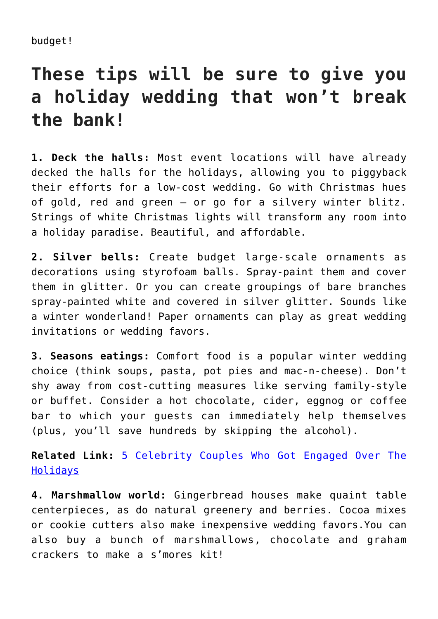#### budget!

## **These tips will be sure to give you a holiday wedding that won't break the bank!**

**1. Deck the halls:** Most event locations will have already decked the halls for the holidays, allowing you to piggyback their efforts for a low-cost wedding. Go with Christmas hues of gold, red and green — or go for a silvery winter blitz. Strings of white Christmas lights will transform any room into a holiday paradise. Beautiful, and affordable.

**2. Silver bells:** Create budget large-scale ornaments as decorations using styrofoam balls. Spray-paint them and cover them in glitter. Or you can create groupings of bare branches spray-painted white and covered in silver glitter. Sounds like a winter wonderland! Paper ornaments can play as great wedding invitations or wedding favors.

**3. Seasons eatings:** Comfort food is a popular winter wedding choice (think soups, pasta, pot pies and mac-n-cheese). Don't shy away from cost-cutting measures like serving family-style or buffet. Consider a hot chocolate, cider, eggnog or coffee bar to which your guests can immediately help themselves (plus, you'll save hundreds by skipping the alcohol).

**Related Link:** [5 Celebrity Couples Who Got Engaged Over The](http://cupidspulse.com/83786/celebrity-couples-engaged-over-holidays/) **[Holidays](http://cupidspulse.com/83786/celebrity-couples-engaged-over-holidays/)** 

**4. Marshmallow world:** Gingerbread houses make quaint table centerpieces, as do natural greenery and berries. Cocoa mixes or cookie cutters also make inexpensive wedding favors.You can also buy a bunch of marshmallows, chocolate and graham crackers to make a s'mores kit!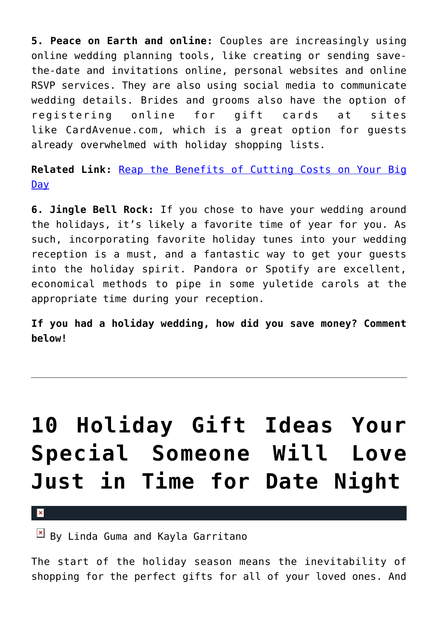**5. Peace on Earth and online:** Couples are increasingly using online wedding planning tools, like creating or sending savethe-date and invitations online, personal websites and online RSVP services. They are also using social media to communicate wedding details. Brides and grooms also have the option of registering online for gift cards at sites like CardAvenue.com, which is a great option for guests already overwhelmed with holiday shopping lists.

**Related Link:** [Reap the Benefits of Cutting Costs on Your Big](http://cupidspulse.com/55564/reap-benefits-cutting-costs-big-day/) [Day](http://cupidspulse.com/55564/reap-benefits-cutting-costs-big-day/)

**6. Jingle Bell Rock:** If you chose to have your wedding around the holidays, it's likely a favorite time of year for you. As such, incorporating favorite holiday tunes into your wedding reception is a must, and a fantastic way to get your guests into the holiday spirit. Pandora or Spotify are excellent, economical methods to pipe in some yuletide carols at the appropriate time during your reception.

**If you had a holiday wedding, how did you save money? Comment below!**

## **[10 Holiday Gift Ideas Your](https://cupidspulse.com/115636/holiday-gift-ideas-special-someone-date-night/) [Special Someone Will Love](https://cupidspulse.com/115636/holiday-gift-ideas-special-someone-date-night/) [Just in Time for Date Night](https://cupidspulse.com/115636/holiday-gift-ideas-special-someone-date-night/)**

×

 $\frac{|\mathbf{x}|}{|\mathbf{x}|}$  By Linda Guma and Kayla Garritano

The start of the holiday season means the inevitability of shopping for the perfect gifts for all of your loved ones. And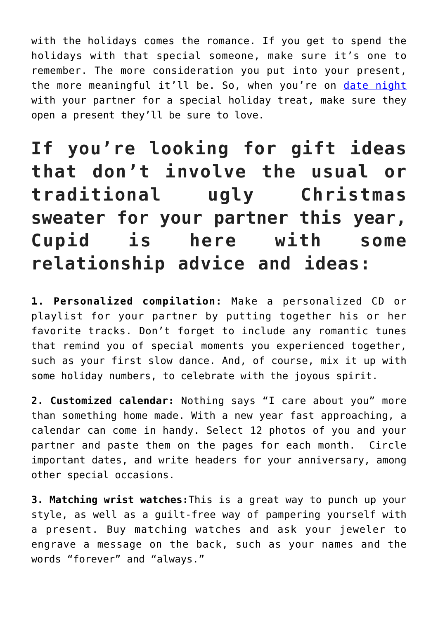with the holidays comes the romance. If you get to spend the holidays with that special someone, make sure it's one to remember. The more consideration you put into your present, the more meaningful it'll be. So, when you're on [date night](http://cupidspulse.com/love/weekend-date-ideas/) with your partner for a special holiday treat, make sure they open a present they'll be sure to love.

## **If you're looking for gift ideas that don't involve the usual or traditional ugly Christmas sweater for your partner this year, Cupid is here with some relationship advice and ideas:**

**1. Personalized compilation:** Make a personalized CD or playlist for your partner by putting together his or her favorite tracks. Don't forget to include any romantic tunes that remind you of special moments you experienced together, such as your first slow dance. And, of course, mix it up with some holiday numbers, to celebrate with the joyous spirit.

**2. Customized calendar:** Nothing says "I care about you" more than something home made. With a new year fast approaching, a calendar can come in handy. Select 12 photos of you and your partner and paste them on the pages for each month. Circle important dates, and write headers for your anniversary, among other special occasions.

**3. Matching wrist watches:**This is a great way to punch up your style, as well as a guilt-free way of pampering yourself with a present. Buy matching watches and ask your jeweler to engrave a message on the back, such as your names and the words "forever" and "always."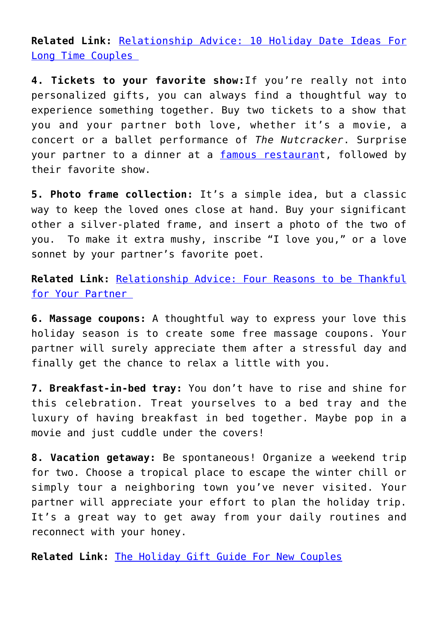**Related Link:** [Relationship Advice: 10 Holiday Date Ideas For](http://cupidspulse.com/102864/relationship-advice-holiday-date-ideas-long-time-couples/) [Long Time Couples](http://cupidspulse.com/102864/relationship-advice-holiday-date-ideas-long-time-couples/) 

**4. Tickets to your favorite show:**If you're really not into personalized gifts, you can always find a thoughtful way to experience something together. Buy two tickets to a show that you and your partner both love, whether it's a movie, a concert or a ballet performance of *The Nutcracker*. Surprise your partner to a dinner at a [famous restauran](http://cupidspulse.com/food/)t, followed by their favorite show.

**5. Photo frame collection:** It's a simple idea, but a classic way to keep the loved ones close at hand. Buy your significant other a silver-plated frame, and insert a photo of the two of you. To make it extra mushy, inscribe "I love you," or a love sonnet by your partner's favorite poet.

**Related Link:** [Relationship Advice: Four Reasons to be Thankful](http://cupidspulse.com/101887/relationship-advice-be-thankful-for-your-partner/) [for Your Partner](http://cupidspulse.com/101887/relationship-advice-be-thankful-for-your-partner/) 

**6. Massage coupons:** A thoughtful way to express your love this holiday season is to create some free massage coupons. Your partner will surely appreciate them after a stressful day and finally get the chance to relax a little with you.

**7. Breakfast-in-bed tray:** You don't have to rise and shine for this celebration. Treat yourselves to a bed tray and the luxury of having breakfast in bed together. Maybe pop in a movie and just cuddle under the covers!

**8. Vacation getaway:** Be spontaneous! Organize a weekend trip for two. Choose a tropical place to escape the winter chill or simply tour a neighboring town you've never visited. Your partner will appreciate your effort to plan the holiday trip. It's a great way to get away from your daily routines and reconnect with your honey.

**Related Link:** [The Holiday Gift Guide For New Couples](http://cupidspulse.com/84021/marni-battista-holiday-gifts-new-couples/)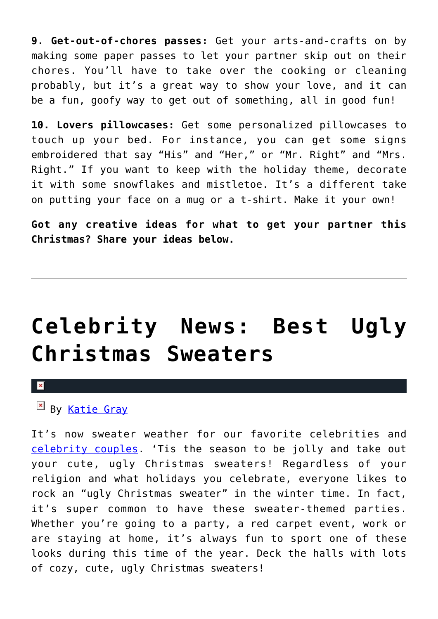**9. Get-out-of-chores passes:** Get your arts-and-crafts on by making some paper passes to let your partner skip out on their chores. You'll have to take over the cooking or cleaning probably, but it's a great way to show your love, and it can be a fun, goofy way to get out of something, all in good fun!

**10. Lovers pillowcases:** Get some personalized pillowcases to touch up your bed. For instance, you can get some signs embroidered that say "His" and "Her," or "Mr. Right" and "Mrs. Right." If you want to keep with the holiday theme, decorate it with some snowflakes and mistletoe. It's a different take on putting your face on a mug or a t-shirt. Make it your own!

**Got any creative ideas for what to get your partner this Christmas? Share your ideas below.**

## **[Celebrity News: Best Ugly](https://cupidspulse.com/115593/celebrity-news-best-ugly-christmas-sweaters/) [Christmas Sweaters](https://cupidspulse.com/115593/celebrity-news-best-ugly-christmas-sweaters/)**

 $\mathbf{x}$ 

### By [Katie Gray](http://cupidspulse.com/105088/katie-gray)

It's now sweater weather for our favorite celebrities and [celebrity couples](http://cupidspulse.com/celebrity-relationships/long-term-relationships-flings/). 'Tis the season to be jolly and take out your cute, ugly Christmas sweaters! Regardless of your religion and what holidays you celebrate, everyone likes to rock an "ugly Christmas sweater" in the winter time. In fact, it's super common to have these sweater-themed parties. Whether you're going to a party, a red carpet event, work or are staying at home, it's always fun to sport one of these looks during this time of the year. Deck the halls with lots of cozy, cute, ugly Christmas sweaters!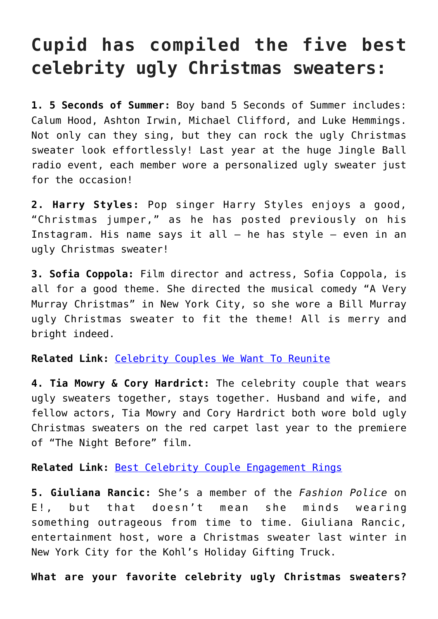### **Cupid has compiled the five best celebrity ugly Christmas sweaters:**

**1. 5 Seconds of Summer:** Boy band 5 Seconds of Summer includes: Calum Hood, Ashton Irwin, Michael Clifford, and Luke Hemmings. Not only can they sing, but they can rock the ugly Christmas sweater look effortlessly! Last year at the huge Jingle Ball radio event, each member wore a personalized ugly sweater just for the occasion!

**2. Harry Styles:** Pop singer Harry Styles enjoys a good, "Christmas jumper," as he has posted previously on his Instagram. His name says it all — he has style – even in an ugly Christmas sweater!

**3. Sofia Coppola:** Film director and actress, Sofia Coppola, is all for a good theme. She directed the musical comedy "A Very Murray Christmas" in New York City, so she wore a Bill Murray ugly Christmas sweater to fit the theme! All is merry and bright indeed.

**Related Link:** [Celebrity Couples We Want To Reunite](http://cupidspulse.com/112675/celebrity-couples-we-want-to-reunite/)

**4. Tia Mowry & Cory Hardrict:** The celebrity couple that wears ugly sweaters together, stays together. Husband and wife, and fellow actors, Tia Mowry and Cory Hardrict both wore bold ugly Christmas sweaters on the red carpet last year to the premiere of "The Night Before" film.

**Related Link:** [Best Celebrity Couple Engagement Rings](http://cupidspulse.com/112312/celebrity-couple-engagement-rings/)

**5. Giuliana Rancic:** She's a member of the *Fashion Police* on E!, but that doesn't mean she minds wearing something outrageous from time to time. Giuliana Rancic, entertainment host, wore a Christmas sweater last winter in New York City for the Kohl's Holiday Gifting Truck.

**What are your favorite celebrity ugly Christmas sweaters?**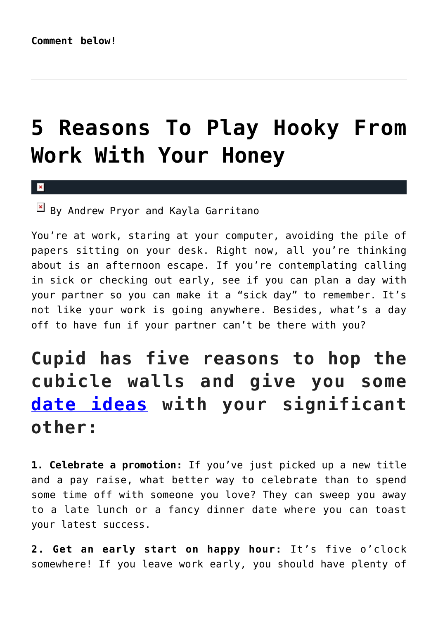## **[5 Reasons To Play Hooky From](https://cupidspulse.com/115590/reasons-play-hooky-work-honey/) [Work With Your Honey](https://cupidspulse.com/115590/reasons-play-hooky-work-honey/)**

 $\mathbb{E}$  By Andrew Pryor and Kayla Garritano

You're at work, staring at your computer, avoiding the pile of papers sitting on your desk. Right now, all you're thinking about is an afternoon escape. If you're contemplating calling in sick or checking out early, see if you can plan a day with your partner so you can make it a "sick day" to remember. It's not like your work is going anywhere. Besides, what's a day off to have fun if your partner can't be there with you?

## **Cupid has five reasons to hop the cubicle walls and give you some [date ideas](http://cupidspulse.com/love/weekend-date-ideas/) with your significant other:**

**1. Celebrate a promotion:** If you've just picked up a new title and a pay raise, what better way to celebrate than to spend some time off with someone you love? They can sweep you away to a late lunch or a fancy dinner date where you can toast your latest success.

**2. Get an early start on happy hour:** It's five o'clock somewhere! If you leave work early, you should have plenty of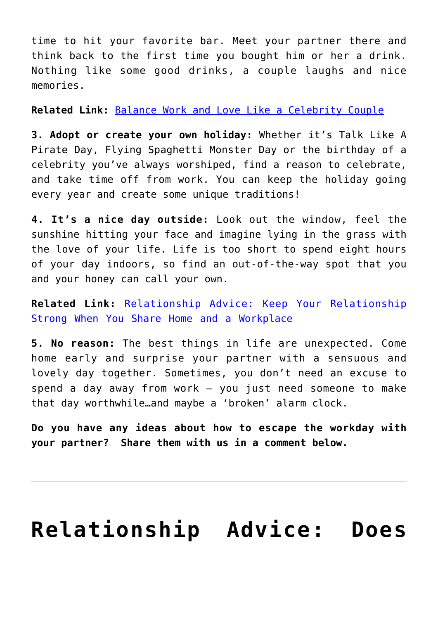time to hit your favorite bar. Meet your partner there and think back to the first time you bought him or her a drink. Nothing like some good drinks, a couple laughs and nice memories.

**Related Link:** [Balance Work and Love Like a Celebrity Couple](http://cupidspulse.com/82572/project-soulmate-balance-work-and-love-like-a-celebrity/)

**3. Adopt or create your own holiday:** Whether it's Talk Like A Pirate Day, Flying Spaghetti Monster Day or the birthday of a celebrity you've always worshiped, find a reason to celebrate, and take time off from work. You can keep the holiday going every year and create some unique traditions!

**4. It's a nice day outside:** Look out the window, feel the sunshine hitting your face and imagine lying in the grass with the love of your life. Life is too short to spend eight hours of your day indoors, so find an out-of-the-way spot that you and your honey can call your own.

**Related Link:** [Relationship Advice: Keep Your Relationship](http://cupidspulse.com/106223/expert-relationship-advice-home-work/) [Strong When You Share Home and a Workplace](http://cupidspulse.com/106223/expert-relationship-advice-home-work/) 

**5. No reason:** The best things in life are unexpected. Come home early and surprise your partner with a sensuous and lovely day together. Sometimes, you don't need an excuse to spend a day away from work – you just need someone to make that day worthwhile…and maybe a 'broken' alarm clock.

**Do you have any ideas about how to escape the workday with your partner? Share them with us in a comment below.**

## **[Relationship Advice: Does](https://cupidspulse.com/115396/relationship-advice-time-apart-heal-betrayal/)**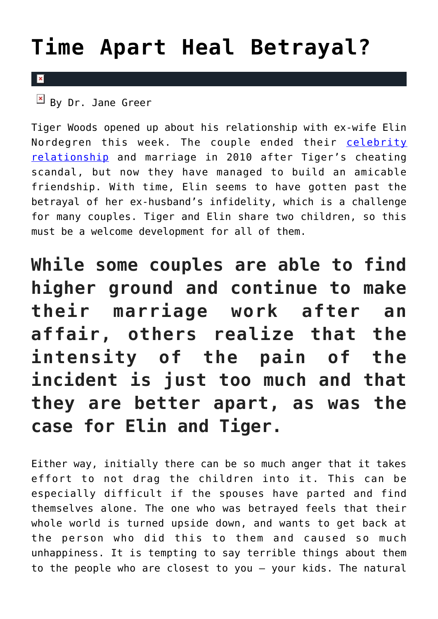## **[Time Apart Heal Betrayal?](https://cupidspulse.com/115396/relationship-advice-time-apart-heal-betrayal/)**

#### $\mathbf{z}$

 $By$  Dr. Jane Greer

Tiger Woods opened up about his relationship with ex-wife Elin Nordegren this week. The couple ended their [celebrity](http://cupidspulse.com/celebrity-relationships/) [relationship](http://cupidspulse.com/celebrity-relationships/) and marriage in 2010 after Tiger's cheating scandal, but now they have managed to build an amicable friendship. With time, Elin seems to have gotten past the betrayal of her ex-husband's infidelity, which is a challenge for many couples. Tiger and Elin share two children, so this must be a welcome development for all of them.

**While some couples are able to find higher ground and continue to make their marriage work after an affair, others realize that the intensity of the pain of the incident is just too much and that they are better apart, as was the case for Elin and Tiger.**

Either way, initially there can be so much anger that it takes effort to not drag the children into it. This can be especially difficult if the spouses have parted and find themselves alone. The one who was betrayed feels that their whole world is turned upside down, and wants to get back at the person who did this to them and caused so much unhappiness. It is tempting to say terrible things about them to the people who are closest to you – your kids. The natural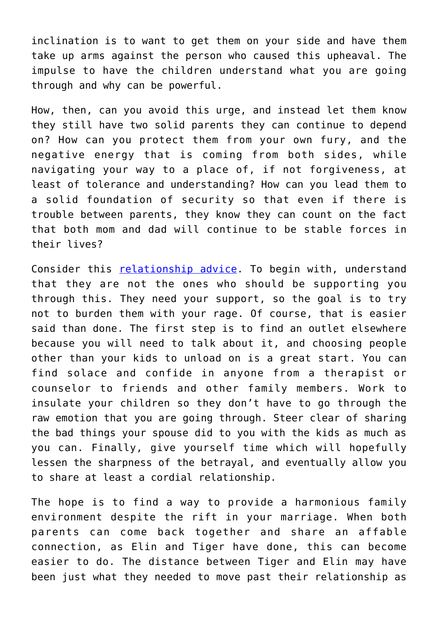inclination is to want to get them on your side and have them take up arms against the person who caused this upheaval. The impulse to have the children understand what you are going through and why can be powerful.

How, then, can you avoid this urge, and instead let them know they still have two solid parents they can continue to depend on? How can you protect them from your own fury, and the negative energy that is coming from both sides, while navigating your way to a place of, if not forgiveness, at least of tolerance and understanding? How can you lead them to a solid foundation of security so that even if there is trouble between parents, they know they can count on the fact that both mom and dad will continue to be stable forces in their lives?

Consider this [relationship advice](http://cupidspulse.com/relationship-experts/). To begin with, understand that they are not the ones who should be supporting you through this. They need your support, so the goal is to try not to burden them with your rage. Of course, that is easier said than done. The first step is to find an outlet elsewhere because you will need to talk about it, and choosing people other than your kids to unload on is a great start. You can find solace and confide in anyone from a therapist or counselor to friends and other family members. Work to insulate your children so they don't have to go through the raw emotion that you are going through. Steer clear of sharing the bad things your spouse did to you with the kids as much as you can. Finally, give yourself time which will hopefully lessen the sharpness of the betrayal, and eventually allow you to share at least a cordial relationship.

The hope is to find a way to provide a harmonious family environment despite the rift in your marriage. When both parents can come back together and share an affable connection, as Elin and Tiger have done, this can become easier to do. The distance between Tiger and Elin may have been just what they needed to move past their relationship as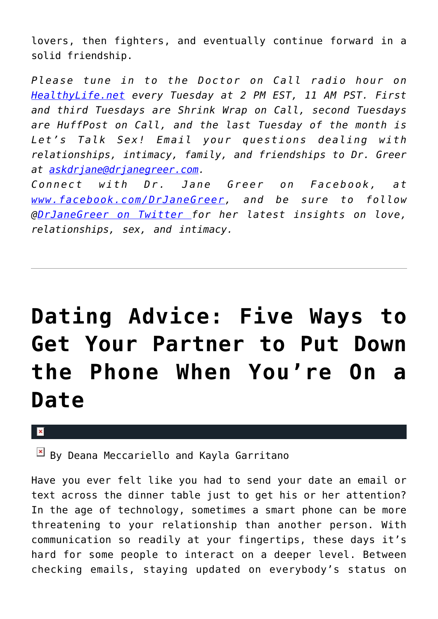lovers, then fighters, and eventually continue forward in a solid friendship.

*Please tune in to the Doctor on Call radio hour on [HealthyLife.net](http://www.healthylife.net/) every Tuesday at 2 PM EST, 11 AM PST. First and third Tuesdays are Shrink Wrap on Call, second Tuesdays are HuffPost on Call, and the last Tuesday of the month is Let's Talk Sex! Email your questions dealing with relationships, intimacy, family, and friendships to Dr. Greer at [askdrjane@drjanegreer.com](mailto:askdrjane@drjanegreer.com).*

*Connect with Dr. Jane Greer on Facebook, at [www.facebook.com/DrJaneGreer,](http://www.facebook.com/DrJaneGreer) and be sure to follow @[DrJaneGreer on Twitter f](https://twitter.com/#!/DrJaneGreer)or her latest insights on love, relationships, sex, and intimacy.*

# **[Dating Advice: Five Ways to](https://cupidspulse.com/115378/dating-advice-partner-put-down-phone-on-date/) [Get Your Partner to Put Down](https://cupidspulse.com/115378/dating-advice-partner-put-down-phone-on-date/) [the Phone When You're On a](https://cupidspulse.com/115378/dating-advice-partner-put-down-phone-on-date/) [Date](https://cupidspulse.com/115378/dating-advice-partner-put-down-phone-on-date/)**

#### $\pmb{\times}$

 $\boxed{\times}$  By Deana Meccariello and Kayla Garritano

Have you ever felt like you had to send your date an email or text across the dinner table just to get his or her attention? In the age of technology, sometimes a smart phone can be more threatening to your relationship than another person. With communication so readily at your fingertips, these days it's hard for some people to interact on a deeper level. Between checking emails, staying updated on everybody's status on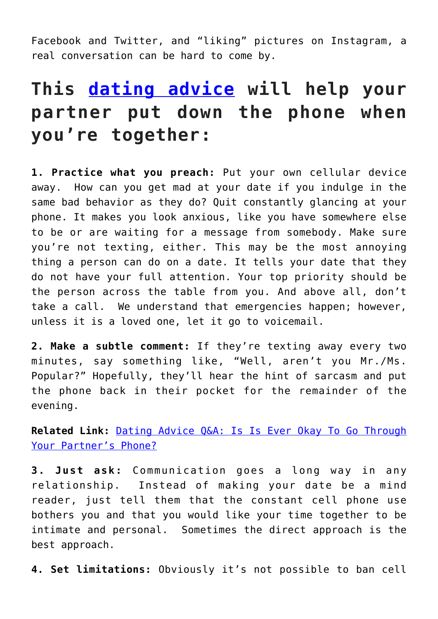Facebook and Twitter, and "liking" pictures on Instagram, a real conversation can be hard to come by.

### **This [dating advice](http://cupidspulse.com/love/relationship-advice-articles/) will help your partner put down the phone when you're together:**

**1. Practice what you preach:** Put your own cellular device away. How can you get mad at your date if you indulge in the same bad behavior as they do? Quit constantly glancing at your phone. It makes you look anxious, like you have somewhere else to be or are waiting for a message from somebody. Make sure you're not texting, either. This may be the most annoying thing a person can do on a date. It tells your date that they do not have your full attention. Your top priority should be the person across the table from you. And above all, don't take a call. We understand that emergencies happen; however, unless it is a loved one, let it go to voicemail.

**2. Make a subtle comment:** If they're texting away every two minutes, say something like, "Well, aren't you Mr./Ms. Popular?" Hopefully, they'll hear the hint of sarcasm and put the phone back in their pocket for the remainder of the evening.

**Related Link:** [Dating Advice Q&A: Is Is Ever Okay To Go Through](http://cupidspulse.com/105358/dating-advice-is-it-ever-okay-to-go-through-your-partners-phone/) [Your Partner's Phone?](http://cupidspulse.com/105358/dating-advice-is-it-ever-okay-to-go-through-your-partners-phone/)

**3. Just ask:** Communication goes a long way in any relationship. Instead of making your date be a mind reader, just tell them that the constant cell phone use bothers you and that you would like your time together to be intimate and personal. Sometimes the direct approach is the best approach.

**4. Set limitations:** Obviously it's not possible to ban cell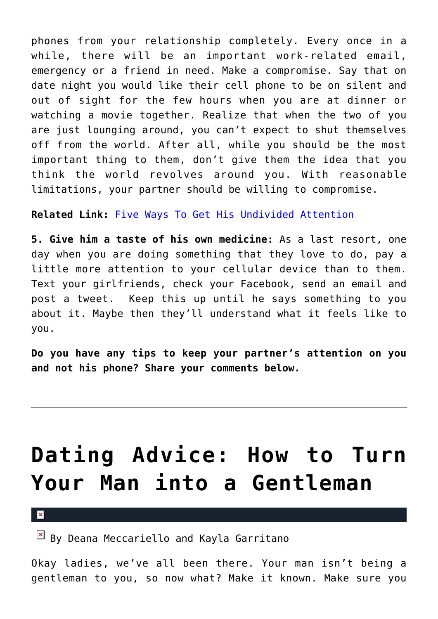phones from your relationship completely. Every once in a while, there will be an important work-related email, emergency or a friend in need. Make a compromise. Say that on date night you would like their cell phone to be on silent and out of sight for the few hours when you are at dinner or watching a movie together. Realize that when the two of you are just lounging around, you can't expect to shut themselves off from the world. After all, while you should be the most important thing to them, don't give them the idea that you think the world revolves around you. With reasonable limitations, your partner should be willing to compromise.

#### **Related Link:** [Five Ways To Get His Undivided Attention](http://cupidspulse.com/57461/five-ways-to-get-undivided-attention-david-wygant/)

**5. Give him a taste of his own medicine:** As a last resort, one day when you are doing something that they love to do, pay a little more attention to your cellular device than to them. Text your girlfriends, check your Facebook, send an email and post a tweet. Keep this up until he says something to you about it. Maybe then they'll understand what it feels like to you.

**Do you have any tips to keep your partner's attention on you and not his phone? Share your comments below.**

## **[Dating Advice: How to Turn](https://cupidspulse.com/115332/dating-advice-turn-man-into-gentleman/) [Your Man into a Gentleman](https://cupidspulse.com/115332/dating-advice-turn-man-into-gentleman/)**

×

 $\boxed{\times}$  By Deana Meccariello and Kayla Garritano

Okay ladies, we've all been there. Your man isn't being a gentleman to you, so now what? Make it known. Make sure you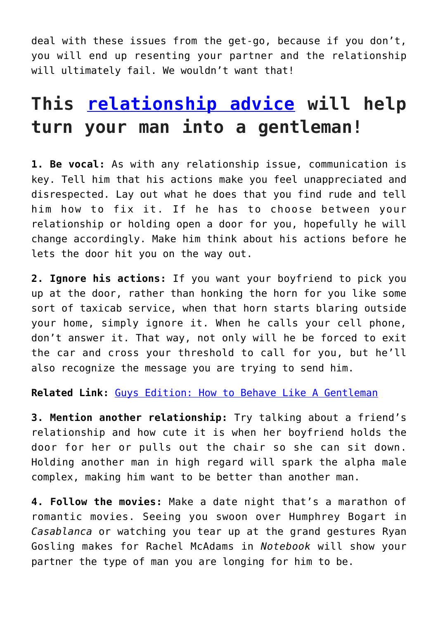deal with these issues from the get-go, because if you don't, you will end up resenting your partner and the relationship will ultimately fail. We wouldn't want that!

## **This [relationship advice](http://cupidspulse.com/love/relationship-advice-articles/) will help turn your man into a gentleman!**

**1. Be vocal:** As with any relationship issue, communication is key. Tell him that his actions make you feel unappreciated and disrespected. Lay out what he does that you find rude and tell him how to fix it. If he has to choose between your relationship or holding open a door for you, hopefully he will change accordingly. Make him think about his actions before he lets the door hit you on the way out.

**2. Ignore his actions:** If you want your boyfriend to pick you up at the door, rather than honking the horn for you like some sort of taxicab service, when that horn starts blaring outside your home, simply ignore it. When he calls your cell phone, don't answer it. That way, not only will he be forced to exit the car and cross your threshold to call for you, but he'll also recognize the message you are trying to send him.

**Related Link:** [Guys Edition: How to Behave Like A Gentleman](http://cupidspulse.com/44014/david-wygant-how-to-behave-like-a-gentleman/)

**3. Mention another relationship:** Try talking about a friend's relationship and how cute it is when her boyfriend holds the door for her or pulls out the chair so she can sit down. Holding another man in high regard will spark the alpha male complex, making him want to be better than another man.

**4. Follow the movies:** Make a date night that's a marathon of romantic movies. Seeing you swoon over Humphrey Bogart in *Casablanca* or watching you tear up at the grand gestures Ryan Gosling makes for Rachel McAdams in *Notebook* will show your partner the type of man you are longing for him to be.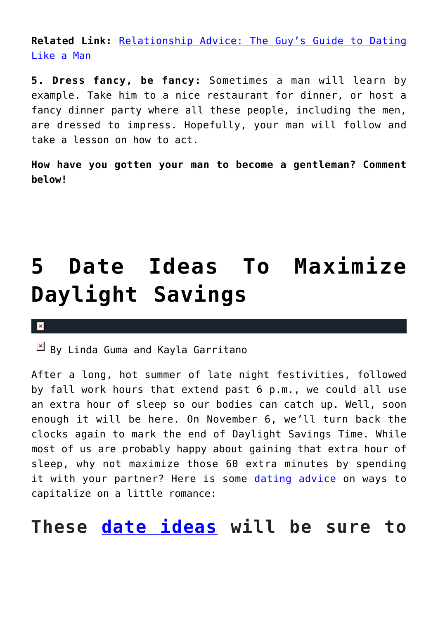**Related Link:** [Relationship Advice: The Guy's Guide to Dating](http://cupidspulse.com/113423/relationship-advice-guys-guide-dating-like-a-man/) [Like a Man](http://cupidspulse.com/113423/relationship-advice-guys-guide-dating-like-a-man/)

**5. Dress fancy, be fancy:** Sometimes a man will learn by example. Take him to a nice restaurant for dinner, or host a fancy dinner party where all these people, including the men, are dressed to impress. Hopefully, your man will follow and take a lesson on how to act.

**How have you gotten your man to become a gentleman? Comment below!**

## **[5 Date Ideas To Maximize](https://cupidspulse.com/115264/date-ideas-maximize-daylight-savings/) [Daylight Savings](https://cupidspulse.com/115264/date-ideas-maximize-daylight-savings/)**

#### $\mathbf{x}$

 $\boxed{\times}$  By Linda Guma and Kayla Garritano

After a long, hot summer of late night festivities, followed by fall work hours that extend past 6 p.m., we could all use an extra hour of sleep so our bodies can catch up. Well, soon enough it will be here. On November 6, we'll turn back the clocks again to mark the end of Daylight Savings Time. While most of us are probably happy about gaining that extra hour of sleep, why not maximize those 60 extra minutes by spending it with your partner? Here is some [dating advice](http://cupidspulse.com/love/relationship-advice-articles/) on ways to capitalize on a little romance:

### **These [date ideas](http://cupidspulse.com/love/weekend-date-ideas/) will be sure to**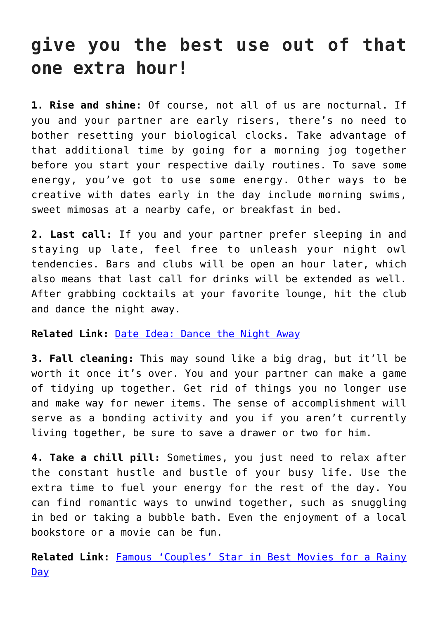### **give you the best use out of that one extra hour!**

**1. Rise and shine:** Of course, not all of us are nocturnal. If you and your partner are early risers, there's no need to bother resetting your biological clocks. Take advantage of that additional time by going for a morning jog together before you start your respective daily routines. To save some energy, you've got to use some energy. Other ways to be creative with dates early in the day include morning swims, sweet mimosas at a nearby cafe, or breakfast in bed.

**2. Last call:** If you and your partner prefer sleeping in and staying up late, feel free to unleash your night owl tendencies. Bars and clubs will be open an hour later, which also means that last call for drinks will be extended as well. After grabbing cocktails at your favorite lounge, hit the club and dance the night away.

**Related Link:** [Date Idea: Dance the Night Away](http://cupidspulse.com/17593/date-idea-go-dancing/)

**3. Fall cleaning:** This may sound like a big drag, but it'll be worth it once it's over. You and your partner can make a game of tidying up together. Get rid of things you no longer use and make way for newer items. The sense of accomplishment will serve as a bonding activity and you if you aren't currently living together, be sure to save a drawer or two for him.

**4. Take a chill pill:** Sometimes, you just need to relax after the constant hustle and bustle of your busy life. Use the extra time to fuel your energy for the rest of the day. You can find romantic ways to unwind together, such as snuggling in bed or taking a bubble bath. Even the enjoyment of a local bookstore or a movie can be fun.

**Related Link:** [Famous 'Couples' Star in Best Movies for a Rainy](http://cupidspulse.com/112200/famous-couple-movies-rainy-day/) **[Day](http://cupidspulse.com/112200/famous-couple-movies-rainy-day/)**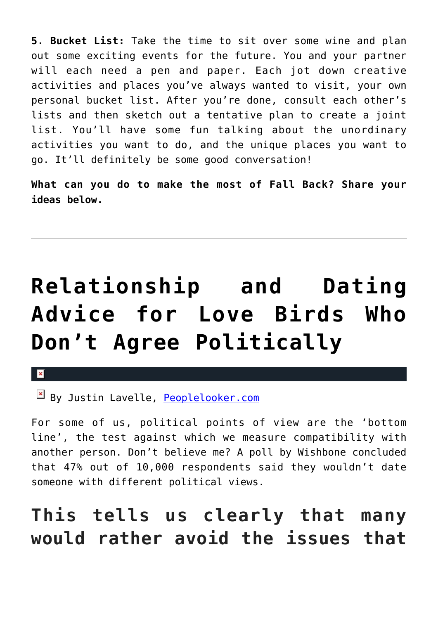**5. Bucket List:** Take the time to sit over some wine and plan out some exciting events for the future. You and your partner will each need a pen and paper. Each jot down creative activities and places you've always wanted to visit, your own personal bucket list. After you're done, consult each other's lists and then sketch out a tentative plan to create a joint list. You'll have some fun talking about the unordinary activities you want to do, and the unique places you want to go. It'll definitely be some good conversation!

**What can you do to make the most of Fall Back? Share your ideas below.** 

# **[Relationship and Dating](https://cupidspulse.com/115219/relationship-dating-advice-love-birds-dont-agree-politically/) [Advice for Love Birds Who](https://cupidspulse.com/115219/relationship-dating-advice-love-birds-dont-agree-politically/) [Don't Agree Politically](https://cupidspulse.com/115219/relationship-dating-advice-love-birds-dont-agree-politically/)**

 $\overline{\mathbf{x}}$ 

By Justin Lavelle, [Peoplelooker.com](http://peoplelooker.com/)

For some of us, political points of view are the 'bottom line', the test against which we measure compatibility with another person. Don't believe me? A poll by Wishbone concluded that 47% out of 10,000 respondents said they wouldn't date someone with different political views.

## **This tells us clearly that many would rather avoid the issues that**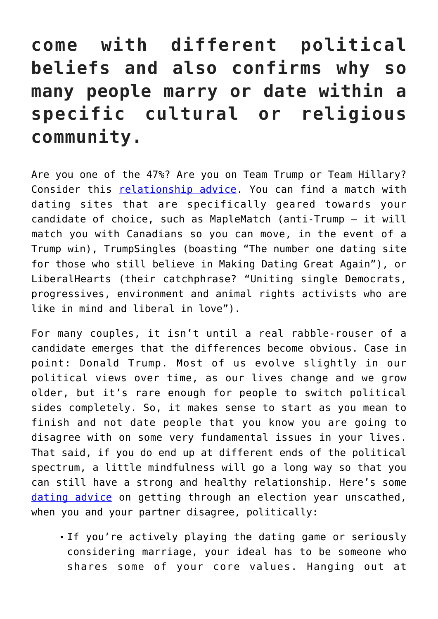## **come with different political beliefs and also confirms why so many people marry or date within a specific cultural or religious community.**

Are you one of the 47%? Are you on Team Trump or Team Hillary? Consider this [relationship advice.](http://cupidspulse.com/relationship-experts/) You can find a match with dating sites that are specifically geared towards your candidate of choice, such as MapleMatch (anti-Trump – it will match you with Canadians so you can move, in the event of a Trump win), TrumpSingles (boasting "The number one dating site for those who still believe in Making Dating Great Again"), or LiberalHearts (their catchphrase? "Uniting single Democrats, progressives, environment and animal rights activists who are like in mind and liberal in love").

For many couples, it isn't until a real rabble-rouser of a candidate emerges that the differences become obvious. Case in point: Donald Trump. Most of us evolve slightly in our political views over time, as our lives change and we grow older, but it's rare enough for people to switch political sides completely. So, it makes sense to start as you mean to finish and not date people that you know you are going to disagree with on some very fundamental issues in your lives. That said, if you do end up at different ends of the political spectrum, a little mindfulness will go a long way so that you can still have a strong and healthy relationship. Here's some [dating advice](http://cupidspulse.com/relationship-experts/) on getting through an election year unscathed, when you and your partner disagree, politically:

If you're actively playing the dating game or seriously considering marriage, your ideal has to be someone who shares some of your core values. Hanging out at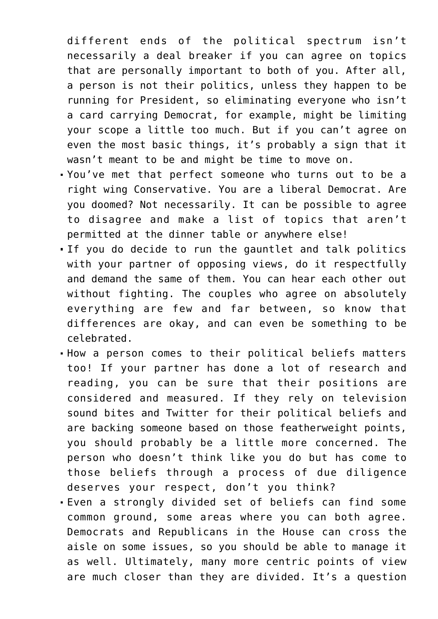different ends of the political spectrum isn't necessarily a deal breaker if you can agree on topics that are personally important to both of you. After all, a person is not their politics, unless they happen to be running for President, so eliminating everyone who isn't a card carrying Democrat, for example, might be limiting your scope a little too much. But if you can't agree on even the most basic things, it's probably a sign that it wasn't meant to be and might be time to move on.

- You've met that perfect someone who turns out to be a right wing Conservative. You are a liberal Democrat. Are you doomed? Not necessarily. It can be possible to agree to disagree and make a list of topics that aren't permitted at the dinner table or anywhere else!
- If you do decide to run the gauntlet and talk politics with your partner of opposing views, do it respectfully and demand the same of them. You can hear each other out without fighting. The couples who agree on absolutely everything are few and far between, so know that differences are okay, and can even be something to be celebrated.
- How a person comes to their political beliefs matters too! If your partner has done a lot of research and reading, you can be sure that their positions are considered and measured. If they rely on television sound bites and Twitter for their political beliefs and are backing someone based on those featherweight points, you should probably be a little more concerned. The person who doesn't think like you do but has come to those beliefs through a process of due diligence deserves your respect, don't you think?
- Even a strongly divided set of beliefs can find some common ground, some areas where you can both agree. Democrats and Republicans in the House can cross the aisle on some issues, so you should be able to manage it as well. Ultimately, many more centric points of view are much closer than they are divided. It's a question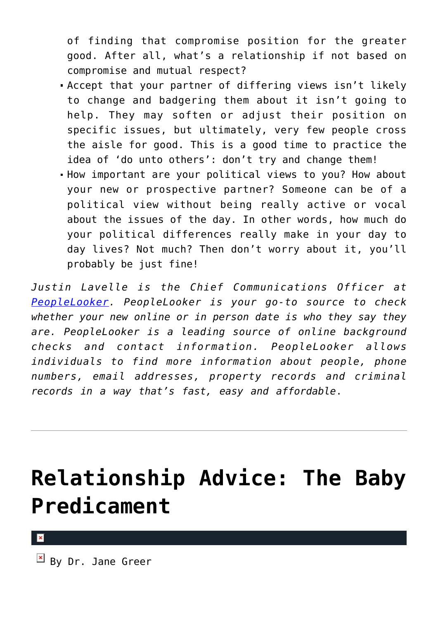of finding that compromise position for the greater good. After all, what's a relationship if not based on compromise and mutual respect?

- Accept that your partner of differing views isn't likely to change and badgering them about it isn't going to help. They may soften or adjust their position on specific issues, but ultimately, very few people cross the aisle for good. This is a good time to practice the idea of 'do unto others': don't try and change them!
- How important are your political views to you? How about your new or prospective partner? Someone can be of a political view without being really active or vocal about the issues of the day. In other words, how much do your political differences really make in your day to day lives? Not much? Then don't worry about it, you'll probably be just fine!

*Justin Lavelle is the Chief Communications Officer at [PeopleLooker](http://www.peoplelooker.com). PeopleLooker is your go-to source to check whether your new online or in person date is who they say they are. PeopleLooker is a leading source of online background checks and contact information. PeopleLooker allows individuals to find more information about people, phone numbers, email addresses, property records and criminal records in a way that's fast, easy and affordable*.

# **[Relationship Advice: The Baby](https://cupidspulse.com/115137/relationship-advice-baby-predicament/) [Predicament](https://cupidspulse.com/115137/relationship-advice-baby-predicament/)**

 $\mathbb{F}$  By Dr. Jane Greer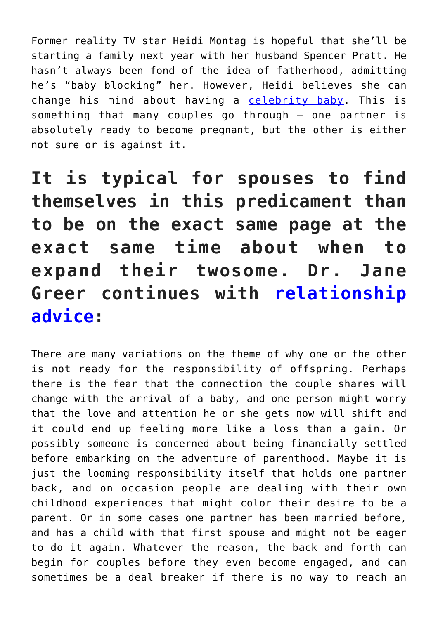Former reality TV star Heidi Montag is hopeful that she'll be starting a family next year with her husband Spencer Pratt. He hasn't always been fond of the idea of fatherhood, admitting he's "baby blocking" her. However, Heidi believes she can change his mind about having a [celebrity baby](http://cupidspulse.com/celebrity-relationships/celebrity-babies/). This is something that many couples go through — one partner is absolutely ready to become pregnant, but the other is either not sure or is against it.

**It is typical for spouses to find themselves in this predicament than to be on the exact same page at the exact same time about when to expand their twosome. Dr. Jane Greer continues with [relationship](http://cupidspulse.com/relationship-experts/) [advice:](http://cupidspulse.com/relationship-experts/)**

There are many variations on the theme of why one or the other is not ready for the responsibility of offspring. Perhaps there is the fear that the connection the couple shares will change with the arrival of a baby, and one person might worry that the love and attention he or she gets now will shift and it could end up feeling more like a loss than a gain. Or possibly someone is concerned about being financially settled before embarking on the adventure of parenthood. Maybe it is just the looming responsibility itself that holds one partner back, and on occasion people are dealing with their own childhood experiences that might color their desire to be a parent. Or in some cases one partner has been married before, and has a child with that first spouse and might not be eager to do it again. Whatever the reason, the back and forth can begin for couples before they even become engaged, and can sometimes be a deal breaker if there is no way to reach an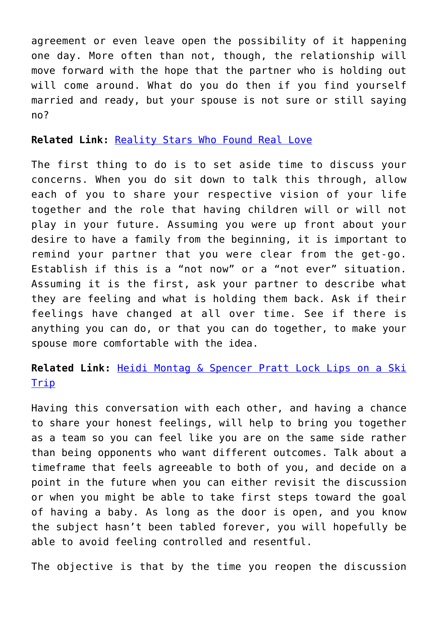agreement or even leave open the possibility of it happening one day. More often than not, though, the relationship will move forward with the hope that the partner who is holding out will come around. What do you do then if you find yourself married and ready, but your spouse is not sure or still saying no?

#### **Related Link:** [Reality Stars Who Found Real Love](http://cupidspulse.com/28619/reality-star-couples-real-love/)

The first thing to do is to set aside time to discuss your concerns. When you do sit down to talk this through, allow each of you to share your respective vision of your life together and the role that having children will or will not play in your future. Assuming you were up front about your desire to have a family from the beginning, it is important to remind your partner that you were clear from the get-go. Establish if this is a "not now" or a "not ever" situation. Assuming it is the first, ask your partner to describe what they are feeling and what is holding them back. Ask if their feelings have changed at all over time. See if there is anything you can do, or that you can do together, to make your spouse more comfortable with the idea.

### **Related Link:** [Heidi Montag & Spencer Pratt Lock Lips on a Ski](http://cupidspulse.com/24235/hills-stars-spencer-pratt-heidi-montag-speidi-lock-lips-pda-on-romantic-ski-trip/) [Trip](http://cupidspulse.com/24235/hills-stars-spencer-pratt-heidi-montag-speidi-lock-lips-pda-on-romantic-ski-trip/)

Having this conversation with each other, and having a chance to share your honest feelings, will help to bring you together as a team so you can feel like you are on the same side rather than being opponents who want different outcomes. Talk about a timeframe that feels agreeable to both of you, and decide on a point in the future when you can either revisit the discussion or when you might be able to take first steps toward the goal of having a baby. As long as the door is open, and you know the subject hasn't been tabled forever, you will hopefully be able to avoid feeling controlled and resentful.

The objective is that by the time you reopen the discussion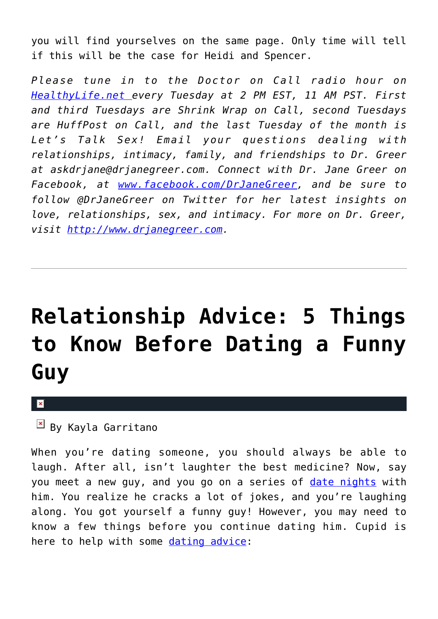you will find yourselves on the same page. Only time will tell if this will be the case for Heidi and Spencer.

*Please tune in to the Doctor on Call radio hour on [HealthyLife.net e](http://www.healthylife.net/)very Tuesday at 2 PM EST, 11 AM PST. First and third Tuesdays are Shrink Wrap on Call, second Tuesdays are HuffPost on Call, and the last Tuesday of the month is Let's Talk Sex! Email your questions dealing with relationships, intimacy, family, and friendships to Dr. Greer at askdrjane@drjanegreer.com. Connect with Dr. Jane Greer on Facebook, at [www.facebook.com/DrJaneGreer,](http://www.facebook.com/DrJaneGreer) and be sure to follow @DrJaneGreer on Twitter for her latest insights on love, relationships, sex, and intimacy. For more on Dr. Greer, visit [http://www.drjanegreer.com.](http://www.drjanegreer.com/)*

# **[Relationship Advice: 5 Things](https://cupidspulse.com/114961/relationship-advice-dating-funny-guys/) [to Know Before Dating a Funny](https://cupidspulse.com/114961/relationship-advice-dating-funny-guys/) [Guy](https://cupidspulse.com/114961/relationship-advice-dating-funny-guys/)**

 $\overline{B}$  By Kayla Garritano

When you're dating someone, you should always be able to laugh. After all, isn't laughter the best medicine? Now, say you meet a new guy, and you go on a series of [date nights](http://cupidspulse.com/dating/date-ideas/) with him. You realize he cracks a lot of jokes, and you're laughing along. You got yourself a funny guy! However, you may need to know a few things before you continue dating him. Cupid is here to help with some [dating advice](http://cupidspulse.com/love/relationship-advice-articles/):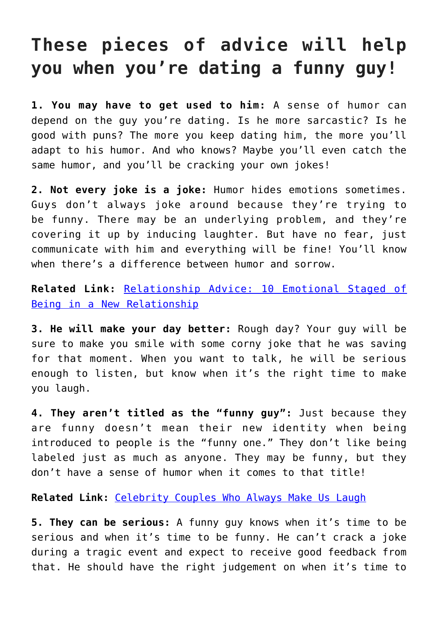### **These pieces of advice will help you when you're dating a funny guy!**

**1. You may have to get used to him:** A sense of humor can depend on the guy you're dating. Is he more sarcastic? Is he good with puns? The more you keep dating him, the more you'll adapt to his humor. And who knows? Maybe you'll even catch the same humor, and you'll be cracking your own jokes!

**2. Not every joke is a joke:** Humor hides emotions sometimes. Guys don't always joke around because they're trying to be funny. There may be an underlying problem, and they're covering it up by inducing laughter. But have no fear, just communicate with him and everything will be fine! You'll know when there's a difference between humor and sorrow.

**Related Link:** [Relationship Advice: 10 Emotional Staged of](http://cupidspulse.com/104694/relationship-advice-10-emotional-stages-of-being-in-a-new-relationship/) [Being in a New Relationship](http://cupidspulse.com/104694/relationship-advice-10-emotional-stages-of-being-in-a-new-relationship/)

**3. He will make your day better:** Rough day? Your guy will be sure to make you smile with some corny joke that he was saving for that moment. When you want to talk, he will be serious enough to listen, but know when it's the right time to make you laugh.

**4. They aren't titled as the "funny guy":** Just because they are funny doesn't mean their new identity when being introduced to people is the "funny one." They don't like being labeled just as much as anyone. They may be funny, but they don't have a sense of humor when it comes to that title!

**Related Link:** [Celebrity Couples Who Always Make Us Laugh](http://cupidspulse.com/89387/funny-celebrity-couples/)

**5. They can be serious:** A funny guy knows when it's time to be serious and when it's time to be funny. He can't crack a joke during a tragic event and expect to receive good feedback from that. He should have the right judgement on when it's time to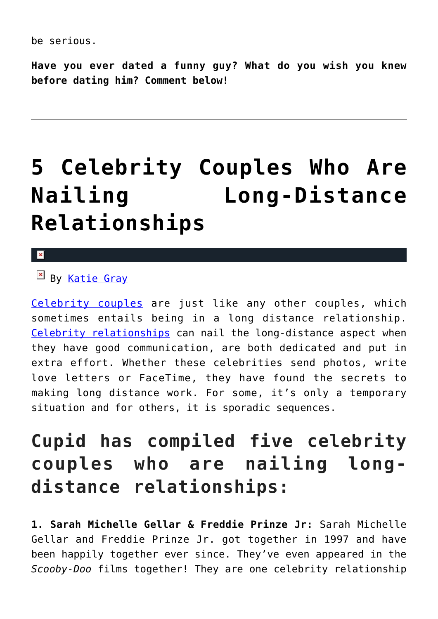be serious.

**Have you ever dated a funny guy? What do you wish you knew before dating him? Comment below!**

## **[5 Celebrity Couples Who Are](https://cupidspulse.com/114948/celebrity-couples-nailing-long-distance-relationships/) [Nailing Long-Distance](https://cupidspulse.com/114948/celebrity-couples-nailing-long-distance-relationships/) [Relationships](https://cupidspulse.com/114948/celebrity-couples-nailing-long-distance-relationships/)**

#### $\pmb{\times}$

By [Katie Gray](http://cupidspulse.com/105088/katie-gray)

[Celebrity couples](http://cupidspulse.com/celebrity-relationships/long-term-relationships-flings/) are just like any other couples, which sometimes entails being in a long distance relationship. [Celebrity relationships](http://cupidspulse.com/celebrity-relationships/long-term-relationships-flings/) can nail the long-distance aspect when they have good communication, are both dedicated and put in extra effort. Whether these celebrities send photos, write love letters or FaceTime, they have found the secrets to making long distance work. For some, it's only a temporary situation and for others, it is sporadic sequences.

### **Cupid has compiled five celebrity couples who are nailing longdistance relationships:**

**1. Sarah Michelle Gellar & Freddie Prinze Jr:** Sarah Michelle Gellar and Freddie Prinze Jr. got together in 1997 and have been happily together ever since. They've even appeared in the *Scooby-Doo* films together! They are one celebrity relationship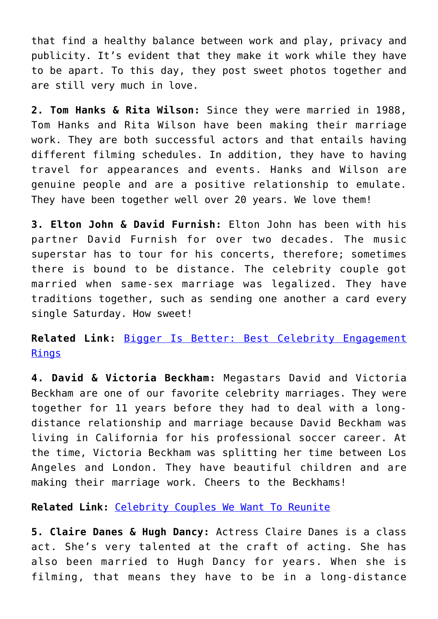that find a healthy balance between work and play, privacy and publicity. It's evident that they make it work while they have to be apart. To this day, they post sweet photos together and are still very much in love.

**2. Tom Hanks & Rita Wilson:** Since they were married in 1988, Tom Hanks and Rita Wilson have been making their marriage work. They are both successful actors and that entails having different filming schedules. In addition, they have to having travel for appearances and events. Hanks and Wilson are genuine people and are a positive relationship to emulate. They have been together well over 20 years. We love them!

**3. Elton John & David Furnish:** Elton John has been with his partner David Furnish for over two decades. The music superstar has to tour for his concerts, therefore; sometimes there is bound to be distance. The celebrity couple got married when same-sex marriage was legalized. They have traditions together, such as sending one another a card every single Saturday. How sweet!

### **Related Link:** [Bigger Is Better: Best Celebrity Engagement](http://cupidspulse.com/112312/celebrity-couple-engagement-rings/) **[Rings](http://cupidspulse.com/112312/celebrity-couple-engagement-rings/)**

**4. David & Victoria Beckham:** Megastars David and Victoria Beckham are one of our favorite celebrity marriages. They were together for 11 years before they had to deal with a longdistance relationship and marriage because David Beckham was living in California for his professional soccer career. At the time, Victoria Beckham was splitting her time between Los Angeles and London. They have beautiful children and are making their marriage work. Cheers to the Beckhams!

**Related Link:** [Celebrity Couples We Want To Reunite](http://cupidspulse.com/112675/celebrity-couples-we-want-to-reunite/)

**5. Claire Danes & Hugh Dancy:** Actress Claire Danes is a class act. She's very talented at the craft of acting. She has also been married to Hugh Dancy for years. When she is filming, that means they have to be in a long-distance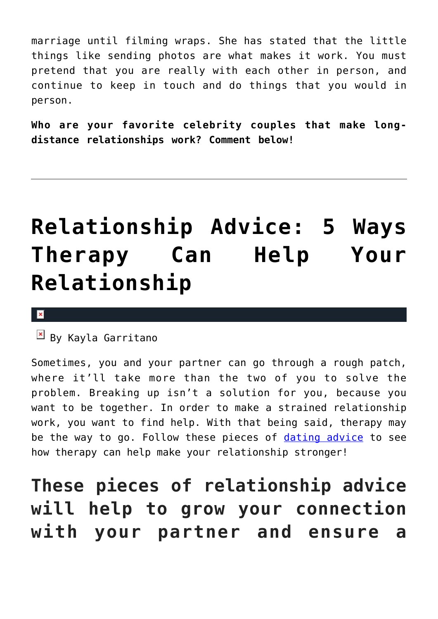marriage until filming wraps. She has stated that the little things like sending photos are what makes it work. You must pretend that you are really with each other in person, and continue to keep in touch and do things that you would in person.

**Who are your favorite celebrity couples that make longdistance relationships work? Comment below!**

## **[Relationship Advice: 5 Ways](https://cupidspulse.com/114941/relationship-advice-ways-therapy-helps-relationship/) [Therapy Can Help Your](https://cupidspulse.com/114941/relationship-advice-ways-therapy-helps-relationship/) [Relationship](https://cupidspulse.com/114941/relationship-advice-ways-therapy-helps-relationship/)**

#### $\mathbf{x}$

 $\overline{B}$  By Kayla Garritano

Sometimes, you and your partner can go through a rough patch, where it'll take more than the two of you to solve the problem. Breaking up isn't a solution for you, because you want to be together. In order to make a strained relationship work, you want to find help. With that being said, therapy may be the way to go. Follow these pieces of [dating advice](http://cupidspulse.com/love/relationship-advice-articles/) to see how therapy can help make your relationship stronger!

**These pieces of relationship advice will help to grow your connection with your partner and ensure a**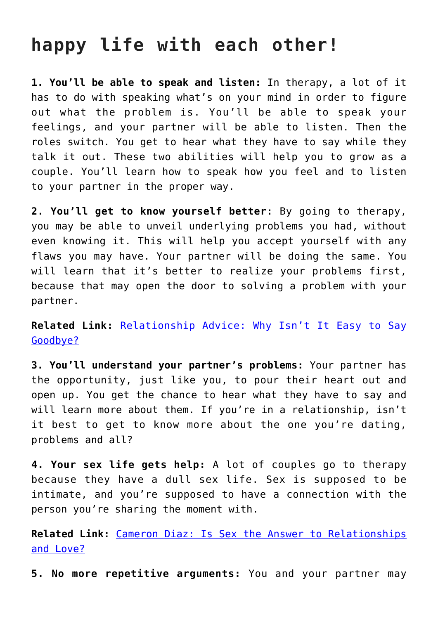### **happy life with each other!**

**1. You'll be able to speak and listen:** In therapy, a lot of it has to do with speaking what's on your mind in order to figure out what the problem is. You'll be able to speak your feelings, and your partner will be able to listen. Then the roles switch. You get to hear what they have to say while they talk it out. These two abilities will help you to grow as a couple. You'll learn how to speak how you feel and to listen to your partner in the proper way.

**2. You'll get to know yourself better:** By going to therapy, you may be able to unveil underlying problems you had, without even knowing it. This will help you accept yourself with any flaws you may have. Your partner will be doing the same. You will learn that it's better to realize your problems first, because that may open the door to solving a problem with your partner.

**Related Link:** [Relationship Advice: Why Isn't It Easy to Say](http://cupidspulse.com/114182/relationship-advice-why-not-easy-say-goodbye/) [Goodbye?](http://cupidspulse.com/114182/relationship-advice-why-not-easy-say-goodbye/)

**3. You'll understand your partner's problems:** Your partner has the opportunity, just like you, to pour their heart out and open up. You get the chance to hear what they have to say and will learn more about them. If you're in a relationship, isn't it best to get to know more about the one you're dating, problems and all?

**4. Your sex life gets help:** A lot of couples go to therapy because they have a dull sex life. Sex is supposed to be intimate, and you're supposed to have a connection with the person you're sharing the moment with.

**Related Link:** [Cameron Diaz: Is Sex the Answer to Relationships](http://cupidspulse.com/88483/cameron-diaz-sex-relationships-and-love/) [and Love?](http://cupidspulse.com/88483/cameron-diaz-sex-relationships-and-love/)

**5. No more repetitive arguments:** You and your partner may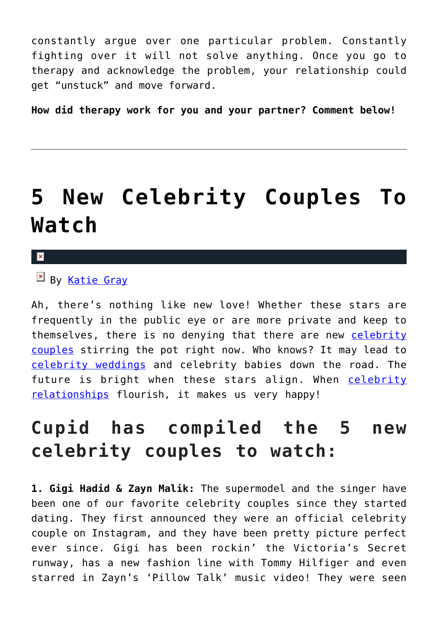constantly argue over one particular problem. Constantly fighting over it will not solve anything. Once you go to therapy and acknowledge the problem, your relationship could get "unstuck" and move forward.

**How did therapy work for you and your partner? Comment below!**

## **[5 New Celebrity Couples To](https://cupidspulse.com/114848/new-celebrity-couples-to-watch/) [Watch](https://cupidspulse.com/114848/new-celebrity-couples-to-watch/)**

 $\mathbf{x}$ 

By [Katie Gray](http://cupidspulse.com/105088/katie-gray)

Ah, there's nothing like new love! Whether these stars are frequently in the public eye or are more private and keep to themselves, there is no denying that there are new [celebrity](http://cupidspulse.com/celebrity-relationships/long-term-relationships-flings/) [couples](http://cupidspulse.com/celebrity-relationships/long-term-relationships-flings/) stirring the pot right now. Who knows? It may lead to [celebrity weddings](http://cupidspulse.com/celebrity-relationships/wedding-engagement/) and celebrity babies down the road. The future is bright when these stars align. When [celebrity](http://cupidspulse.com/celebrity-relationships/long-term-relationships-flings/) [relationships](http://cupidspulse.com/celebrity-relationships/long-term-relationships-flings/) flourish, it makes us very happy!

### **Cupid has compiled the 5 new celebrity couples to watch:**

**1. Gigi Hadid & Zayn Malik:** The supermodel and the singer have been one of our favorite celebrity couples since they started dating. They first announced they were an official celebrity couple on Instagram, and they have been pretty picture perfect ever since. Gigi has been rockin' the Victoria's Secret runway, has a new fashion line with Tommy Hilfiger and even starred in Zayn's 'Pillow Talk' music video! They were seen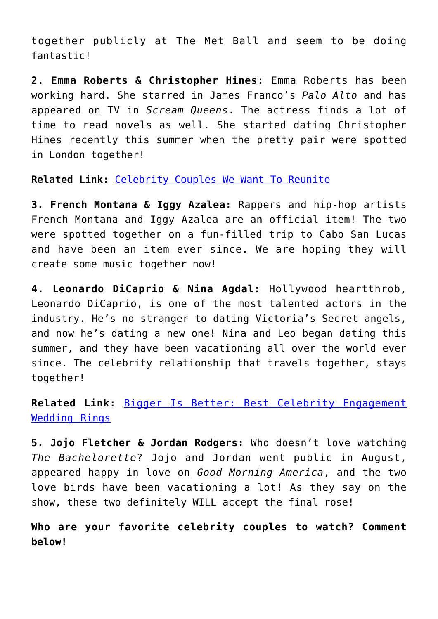together publicly at The Met Ball and seem to be doing fantastic!

**2. Emma Roberts & Christopher Hines:** Emma Roberts has been working hard. She starred in James Franco's *Palo Alto* and has appeared on TV in *Scream Queens*. The actress finds a lot of time to read novels as well. She started dating Christopher Hines recently this summer when the pretty pair were spotted in London together!

**Related Link:** [Celebrity Couples We Want To Reunite](http://cupidspulse.com/112675/celebrity-couples-we-want-to-reunite/)

**3. French Montana & Iggy Azalea:** Rappers and hip-hop artists French Montana and Iggy Azalea are an official item! The two were spotted together on a fun-filled trip to Cabo San Lucas and have been an item ever since. We are hoping they will create some music together now!

**4. Leonardo DiCaprio & Nina Agdal:** Hollywood heartthrob, Leonardo DiCaprio, is one of the most talented actors in the industry. He's no stranger to dating Victoria's Secret angels, and now he's dating a new one! Nina and Leo began dating this summer, and they have been vacationing all over the world ever since. The celebrity relationship that travels together, stays together!

**Related Link:** [Bigger Is Better: Best Celebrity Engagement](http://cupidspulse.com/112312/celebrity-couple-engagement-rings/) [Wedding Rings](http://cupidspulse.com/112312/celebrity-couple-engagement-rings/)

**5. Jojo Fletcher & Jordan Rodgers:** Who doesn't love watching *The Bachelorette*? Jojo and Jordan went public in August, appeared happy in love on *Good Morning America*, and the two love birds have been vacationing a lot! As they say on the show, these two definitely WILL accept the final rose!

**Who are your favorite celebrity couples to watch? Comment below!**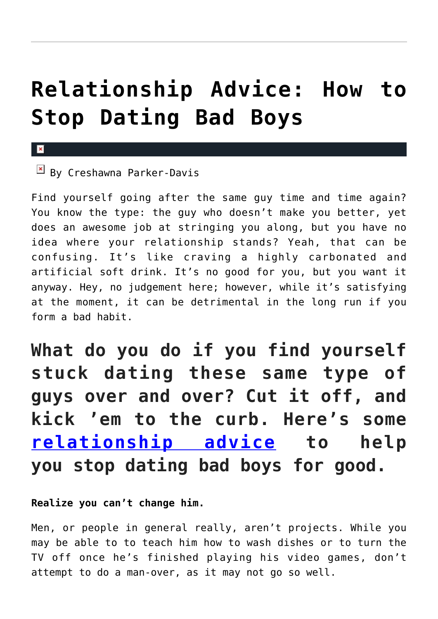## **[Relationship Advice: How to](https://cupidspulse.com/114578/relationship-advice-stop-dating-bad-boys/) [Stop Dating Bad Boys](https://cupidspulse.com/114578/relationship-advice-stop-dating-bad-boys/)**

#### x

 $\boxed{\text{y}}$  By Creshawna Parker-Davis

Find yourself going after the same guy time and time again? You know the type: the guy who doesn't make you better, yet does an awesome job at stringing you along, but you have no idea where your relationship stands? Yeah, that can be confusing. It's like craving a highly carbonated and artificial soft drink. It's no good for you, but you want it anyway. Hey, no judgement here; however, while it's satisfying at the moment, it can be detrimental in the long run if you form a bad habit.

**What do you do if you find yourself stuck dating these same type of guys over and over? Cut it off, and kick 'em to the curb. Here's some [relationship advice](http://cupidspulse.com/relationship-experts/) to help you stop dating bad boys for good.**

#### **Realize you can't change him.**

Men, or people in general really, aren't projects. While you may be able to to teach him how to wash dishes or to turn the TV off once he's finished playing his video games, don't attempt to do a man-over, as it may not go so well.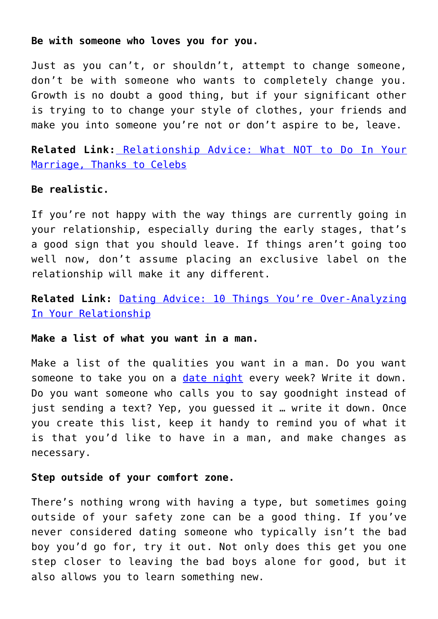#### **Be with someone who loves you for you.**

Just as you can't, or shouldn't, attempt to change someone, don't be with someone who wants to completely change you. Growth is no doubt a good thing, but if your significant other is trying to to change your style of clothes, your friends and make you into someone you're not or don't aspire to be, leave.

**Related Link:** [Relationship Advice: What NOT to Do In Your](http://cupidspulse.com/111994/relationship-advice-what-not-to-do-marriage-celebs/) [Marriage, Thanks to Celebs](http://cupidspulse.com/111994/relationship-advice-what-not-to-do-marriage-celebs/)

#### **Be realistic.**

If you're not happy with the way things are currently going in your relationship, especially during the early stages, that's a good sign that you should leave. If things aren't going too well now, don't assume placing an exclusive label on the relationship will make it any different.

**Related Link:** [Dating Advice: 10 Things You're Over-Analyzing](http://cupidspulse.com/110243/dating-advice-over-analyzing-relationship/) [In Your Relationship](http://cupidspulse.com/110243/dating-advice-over-analyzing-relationship/)

#### **Make a list of what you want in a man.**

Make a list of the qualities you want in a man. Do you want someone to take you on a [date night](http://cupidspulse.com/dating/date-ideas/) every week? Write it down. Do you want someone who calls you to say goodnight instead of just sending a text? Yep, you guessed it … write it down. Once you create this list, keep it handy to remind you of what it is that you'd like to have in a man, and make changes as necessary.

#### **Step outside of your comfort zone.**

There's nothing wrong with having a type, but sometimes going outside of your safety zone can be a good thing. If you've never considered dating someone who typically isn't the bad boy you'd go for, try it out. Not only does this get you one step closer to leaving the bad boys alone for good, but it also allows you to learn something new.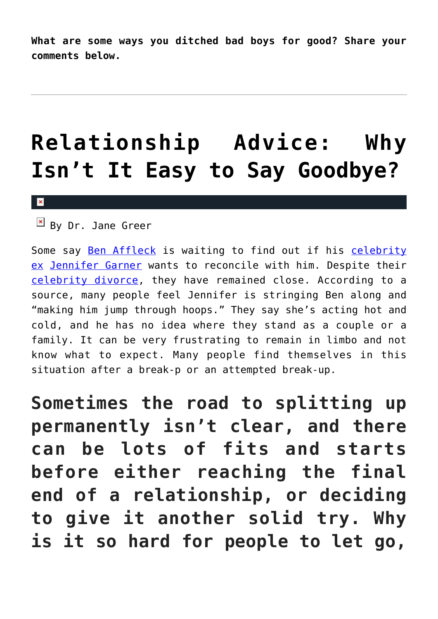**What are some ways you ditched bad boys for good? Share your comments below.**

## **[Relationship Advice: Why](https://cupidspulse.com/114182/relationship-advice-why-not-easy-say-goodbye/) [Isn't It Easy to Say Goodbye?](https://cupidspulse.com/114182/relationship-advice-why-not-easy-say-goodbye/)**

#### $\pmb{\times}$

 $By$  Dr. Jane Green

Some say [Ben Affleck](http://cupidspulse.com/87708/ben-affleck/) is waiting to find out if his [celebrity](http://cupidspulse.com/celebrity-relationships/break-up-divorce/) [ex](http://cupidspulse.com/celebrity-relationships/break-up-divorce/) [Jennifer Garner](http://cupidspulse.com/94271/jennifer-garner/) wants to reconcile with him. Despite their [celebrity divorce](http://cupidspulse.com/celebrity-relationships/break-up-divorce/), they have remained close. According to a source, many people feel Jennifer is stringing Ben along and "making him jump through hoops." They say she's acting hot and cold, and he has no idea where they stand as a couple or a family. It can be very frustrating to remain in limbo and not know what to expect. Many people find themselves in this situation after a break-p or an attempted break-up.

**Sometimes the road to splitting up permanently isn't clear, and there can be lots of fits and starts before either reaching the final end of a relationship, or deciding to give it another solid try. Why is it so hard for people to let go,**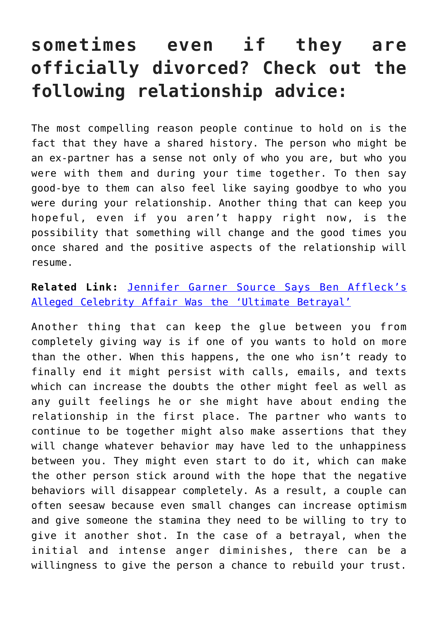### **sometimes even if they are officially divorced? Check out the following relationship advice:**

The most compelling reason people continue to hold on is the fact that they have a shared history. The person who might be an ex-partner has a sense not only of who you are, but who you were with them and during your time together. To then say good-bye to them can also feel like saying goodbye to who you were during your relationship. Another thing that can keep you hopeful, even if you aren't happy right now, is the possibility that something will change and the good times you once shared and the positive aspects of the relationship will resume.

### **Related Link:** [Jennifer Garner Source Says Ben Affleck's](http://cupidspulse.com/98881/jennifer-garner-ben-affleck-celebrity-affair-ultimate-betrayal/) [Alleged Celebrity Affair Was the 'Ultimate Betrayal'](http://cupidspulse.com/98881/jennifer-garner-ben-affleck-celebrity-affair-ultimate-betrayal/)

Another thing that can keep the glue between you from completely giving way is if one of you wants to hold on more than the other. When this happens, the one who isn't ready to finally end it might persist with calls, emails, and texts which can increase the doubts the other might feel as well as any guilt feelings he or she might have about ending the relationship in the first place. The partner who wants to continue to be together might also make assertions that they will change whatever behavior may have led to the unhappiness between you. They might even start to do it, which can make the other person stick around with the hope that the negative behaviors will disappear completely. As a result, a couple can often seesaw because even small changes can increase optimism and give someone the stamina they need to be willing to try to give it another shot. In the case of a betrayal, when the initial and intense anger diminishes, there can be a willingness to give the person a chance to rebuild your trust.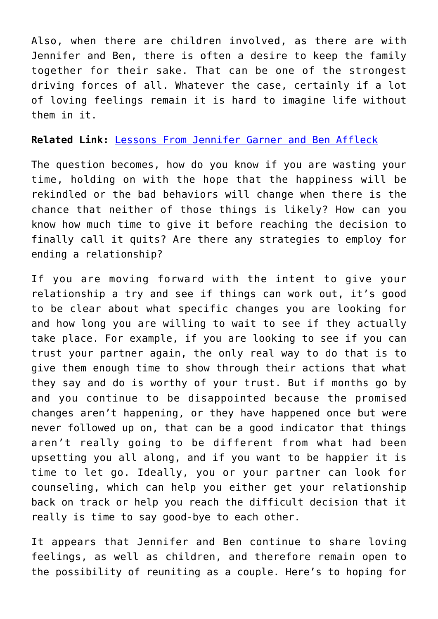Also, when there are children involved, as there are with Jennifer and Ben, there is often a desire to keep the family together for their sake. That can be one of the strongest driving forces of all. Whatever the case, certainly if a lot of loving feelings remain it is hard to imagine life without them in it.

#### **Related Link:** [Lessons From Jennifer Garner and Ben Affleck](http://cupidspulse.com/55662/lessons-from-jennifer-garner-ben-affleck-tammy-greene-hope-after-divorce/)

The question becomes, how do you know if you are wasting your time, holding on with the hope that the happiness will be rekindled or the bad behaviors will change when there is the chance that neither of those things is likely? How can you know how much time to give it before reaching the decision to finally call it quits? Are there any strategies to employ for ending a relationship?

If you are moving forward with the intent to give your relationship a try and see if things can work out, it's good to be clear about what specific changes you are looking for and how long you are willing to wait to see if they actually take place. For example, if you are looking to see if you can trust your partner again, the only real way to do that is to give them enough time to show through their actions that what they say and do is worthy of your trust. But if months go by and you continue to be disappointed because the promised changes aren't happening, or they have happened once but were never followed up on, that can be a good indicator that things aren't really going to be different from what had been upsetting you all along, and if you want to be happier it is time to let go. Ideally, you or your partner can look for counseling, which can help you either get your relationship back on track or help you reach the difficult decision that it really is time to say good-bye to each other.

It appears that Jennifer and Ben continue to share loving feelings, as well as children, and therefore remain open to the possibility of reuniting as a couple. Here's to hoping for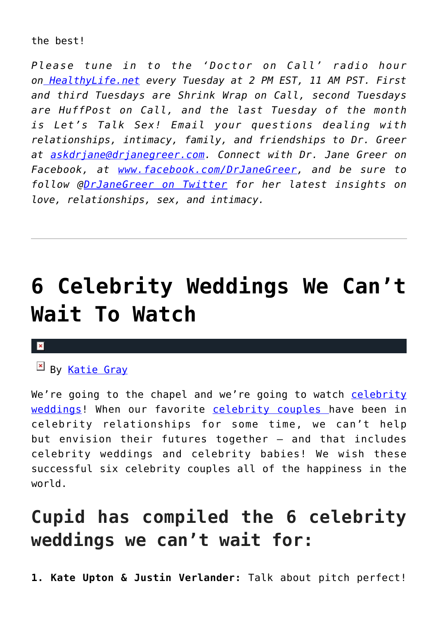the best!

*Please tune in to the 'Doctor on Call' radio hour on [HealthyLife.net](http://www.healthylife.net/) every Tuesday at 2 PM EST, 11 AM PST. First and third Tuesdays are Shrink Wrap on Call, second Tuesdays are HuffPost on Call, and the last Tuesday of the month is Let's Talk Sex! Email your questions dealing with relationships, intimacy, family, and friendships to Dr. Greer at [askdrjane@drjanegreer.com](mailto:askdrjane@drjanegreer.com). Connect with Dr. Jane Greer on Facebook, at [www.facebook.com/DrJaneGreer,](http://www.facebook.com/DrJaneGreer) and be sure to follow @[DrJaneGreer on Twitter](https://twitter.com/#!/DrJaneGreer) for her latest insights on love, relationships, sex, and intimacy.*

## **[6 Celebrity Weddings We Can't](https://cupidspulse.com/113809/celebrity-weddings-cant-wait-watch/) [Wait To Watch](https://cupidspulse.com/113809/celebrity-weddings-cant-wait-watch/)**

#### $\pmb{\times}$

 $\mathbb{F}$  By [Katie Gray](http://cupidspulse.com/105088/katie-gray/)

We're going to the chapel and we're going to watch [celebrity](http://cupidspulse.com/celebrity-relationships/wedding-engagement/) [weddings](http://cupidspulse.com/celebrity-relationships/wedding-engagement/)! When our favorite [celebrity couples](http://cupidspulse.com/celebrity-relationships/long-term-relationships-flings/) have been in celebrity relationships for some time, we can't help but envision their futures together – and that includes celebrity weddings and celebrity babies! We wish these successful six celebrity couples all of the happiness in the world.

### **Cupid has compiled the 6 celebrity weddings we can't wait for:**

**1. Kate Upton & Justin Verlander:** Talk about pitch perfect!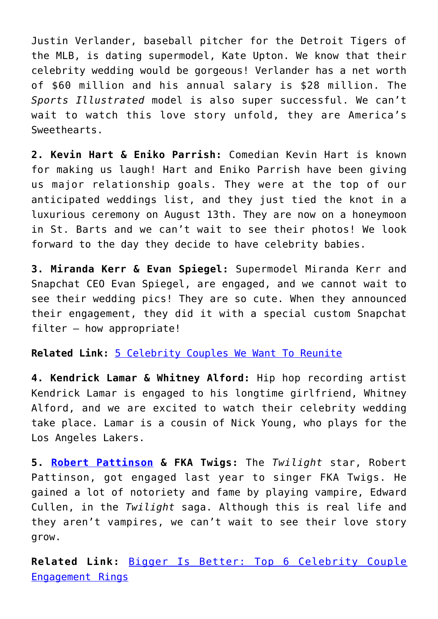Justin Verlander, baseball pitcher for the Detroit Tigers of the MLB, is dating supermodel, Kate Upton. We know that their celebrity wedding would be gorgeous! Verlander has a net worth of \$60 million and his annual salary is \$28 million. The *Sports Illustrated* model is also super successful. We can't wait to watch this love story unfold, they are America's Sweethearts.

**2. Kevin Hart & Eniko Parrish:** Comedian Kevin Hart is known for making us laugh! Hart and Eniko Parrish have been giving us major relationship goals. They were at the top of our anticipated weddings list, and they just tied the knot in a luxurious ceremony on August 13th. They are now on a honeymoon in St. Barts and we can't wait to see their photos! We look forward to the day they decide to have celebrity babies.

**3. Miranda Kerr & Evan Spiegel:** Supermodel Miranda Kerr and Snapchat CEO Evan Spiegel, are engaged, and we cannot wait to see their wedding pics! They are so cute. When they announced their engagement, they did it with a special custom Snapchat filter – how appropriate!

**Related Link:** [5 Celebrity Couples We Want To Reunite](http://cupidspulse.com/112675/celebrity-couples-we-want-to-reunite/)

**4. Kendrick Lamar & Whitney Alford:** Hip hop recording artist Kendrick Lamar is engaged to his longtime girlfriend, Whitney Alford, and we are excited to watch their celebrity wedding take place. Lamar is a cousin of Nick Young, who plays for the Los Angeles Lakers.

**5. [Robert Pattinson](http://cupidspulse.com/88147/robert-pattinson/5/) & FKA Twigs:** The *Twilight* star, Robert Pattinson, got engaged last year to singer FKA Twigs. He gained a lot of notoriety and fame by playing vampire, Edward Cullen, in the *Twilight* saga. Although this is real life and they aren't vampires, we can't wait to see their love story grow.

**Related Link:** [Bigger Is Better: Top 6 Celebrity Couple](http://cupidspulse.com/112312/celebrity-couple-engagement-rings/) [Engagement Rings](http://cupidspulse.com/112312/celebrity-couple-engagement-rings/)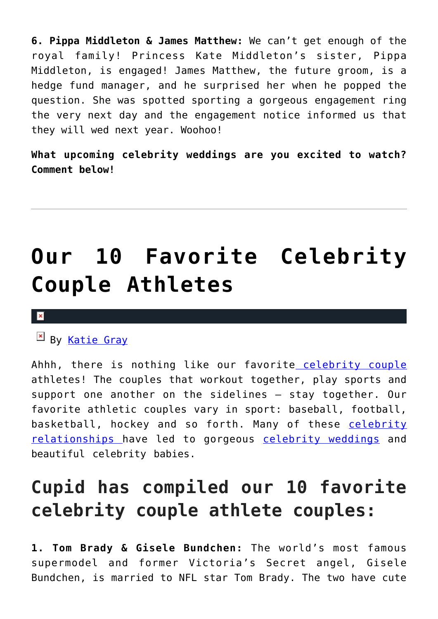**6. Pippa Middleton & James Matthew:** We can't get enough of the royal family! Princess Kate Middleton's sister, Pippa Middleton, is engaged! James Matthew, the future groom, is a hedge fund manager, and he surprised her when he popped the question. She was spotted sporting a gorgeous engagement ring the very next day and the engagement notice informed us that they will wed next year. Woohoo!

**What upcoming celebrity weddings are you excited to watch? Comment below!**

# **[Our 10 Favorite Celebrity](https://cupidspulse.com/113825/favorite-celebrity-couple-athletes/) [Couple Athletes](https://cupidspulse.com/113825/favorite-celebrity-couple-athletes/)**

#### $\pmb{\times}$

### $By$  [Katie Gray](http://cupidspulse.com/105088/katie-gray/)

Ahhh, there is nothing like our favorite [celebrity couple](http://cupidspulse.com/celebrity-relationships/long-term-relationships-flings/) athletes! The couples that workout together, play sports and support one another on the sidelines – stay together. Our favorite athletic couples vary in sport: baseball, football, basketball, hockey and so forth. Many of these [celebrity](http://cupidspulse.com/celebrity-relationships/long-term-relationships-flings/) [relationships](http://cupidspulse.com/celebrity-relationships/long-term-relationships-flings/) have led to gorgeous [celebrity weddings](http://cupidspulse.com/celebrity-relationships/wedding-engagement/) and beautiful celebrity babies.

### **Cupid has compiled our 10 favorite celebrity couple athlete couples:**

**1. Tom Brady & Gisele Bundchen:** The world's most famous supermodel and former Victoria's Secret angel, Gisele Bundchen, is married to NFL star Tom Brady. The two have cute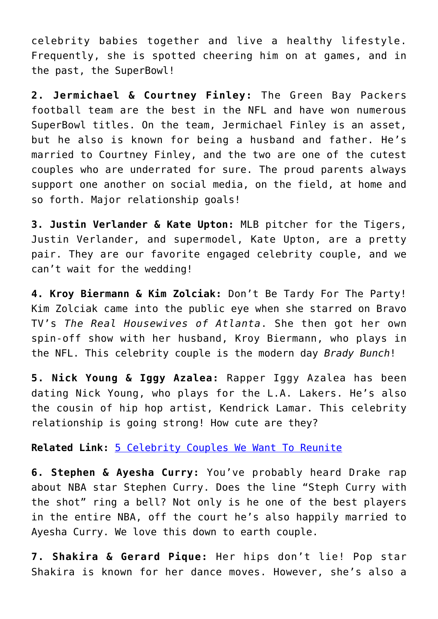celebrity babies together and live a healthy lifestyle. Frequently, she is spotted cheering him on at games, and in the past, the SuperBowl!

**2. Jermichael & Courtney Finley:** The Green Bay Packers football team are the best in the NFL and have won numerous SuperBowl titles. On the team, Jermichael Finley is an asset, but he also is known for being a husband and father. He's married to Courtney Finley, and the two are one of the cutest couples who are underrated for sure. The proud parents always support one another on social media, on the field, at home and so forth. Major relationship goals!

**3. Justin Verlander & Kate Upton:** MLB pitcher for the Tigers, Justin Verlander, and supermodel, Kate Upton, are a pretty pair. They are our favorite engaged celebrity couple, and we can't wait for the wedding!

**4. Kroy Biermann & Kim Zolciak:** Don't Be Tardy For The Party! Kim Zolciak came into the public eye when she starred on Bravo TV's *The Real Housewives of Atlanta*. She then got her own spin-off show with her husband, Kroy Biermann, who plays in the NFL. This celebrity couple is the modern day *Brady Bunch*!

**5. Nick Young & Iggy Azalea:** Rapper Iggy Azalea has been dating Nick Young, who plays for the L.A. Lakers. He's also the cousin of hip hop artist, Kendrick Lamar. This celebrity relationship is going strong! How cute are they?

**Related Link:** [5 Celebrity Couples We Want To Reunite](http://cupidspulse.com/112675/celebrity-couples-we-want-to-reunite/)

**6. Stephen & Ayesha Curry:** You've probably heard Drake rap about NBA star Stephen Curry. Does the line "Steph Curry with the shot" ring a bell? Not only is he one of the best players in the entire NBA, off the court he's also happily married to Ayesha Curry. We love this down to earth couple.

**7. Shakira & Gerard Pique:** Her hips don't lie! Pop star Shakira is known for her dance moves. However, she's also a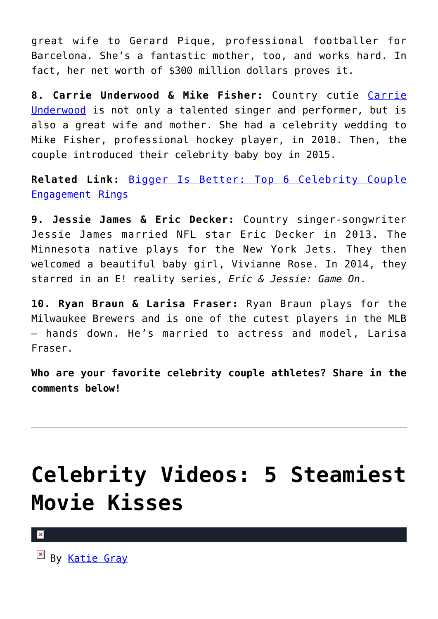great wife to Gerard Pique, professional footballer for Barcelona. She's a fantastic mother, too, and works hard. In fact, her net worth of \$300 million dollars proves it.

**8. Carrie Underwood & Mike Fisher:** Country cutie [Carrie](http://cupidspulse.com/88129/carrie-underwood/) [Underwood](http://cupidspulse.com/88129/carrie-underwood/) is not only a talented singer and performer, but is also a great wife and mother. She had a celebrity wedding to Mike Fisher, professional hockey player, in 2010. Then, the couple introduced their celebrity baby boy in 2015.

**Related Link:** [Bigger Is Better: Top 6 Celebrity Couple](http://cupidspulse.com/112312/celebrity-couple-engagement-rings/) [Engagement Rings](http://cupidspulse.com/112312/celebrity-couple-engagement-rings/)

**9. Jessie James & Eric Decker:** Country singer-songwriter Jessie James married NFL star Eric Decker in 2013. The Minnesota native plays for the New York Jets. They then welcomed a beautiful baby girl, Vivianne Rose. In 2014, they starred in an E! reality series, *Eric & Jessie: Game On*.

**10. Ryan Braun & Larisa Fraser:** Ryan Braun plays for the Milwaukee Brewers and is one of the cutest players in the MLB – hands down. He's married to actress and model, Larisa Fraser.

**Who are your favorite celebrity couple athletes? Share in the comments below!**

## **[Celebrity Videos: 5 Steamiest](https://cupidspulse.com/113819/celebrity-video-steamy-movie-kisses/) [Movie Kisses](https://cupidspulse.com/113819/celebrity-video-steamy-movie-kisses/)**

By [Katie Gray](http://cupidspulse.com/105088/katie-gray/)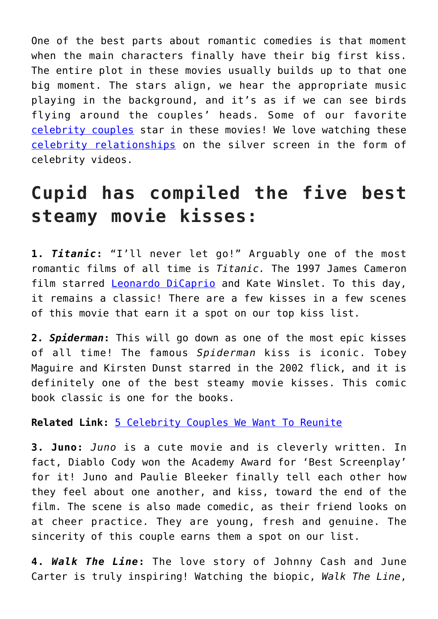One of the best parts about romantic comedies is that moment when the main characters finally have their big first kiss. The entire plot in these movies usually builds up to that one big moment. The stars align, we hear the appropriate music playing in the background, and it's as if we can see birds flying around the couples' heads. Some of our favorite [celebrity couples](http://cupidspulse.com/celebrity-relationships/long-term-relationships-flings/) star in these movies! We love watching these [celebrity relationships](http://cupidspulse.com/celebrity-relationships/long-term-relationships-flings/) on the silver screen in the form of celebrity videos.

### **Cupid has compiled the five best steamy movie kisses:**

**1.** *Titanic***:** "I'll never let go!" Arguably one of the most romantic films of all time is *Titanic.* The 1997 James Cameron film starred **Leonardo DiCaprio** and Kate Winslet. To this day, it remains a classic! There are a few kisses in a few scenes of this movie that earn it a spot on our top kiss list.

**2.** *Spiderman***:** This will go down as one of the most epic kisses of all time! The famous *Spiderman* kiss is iconic. Tobey Maguire and Kirsten Dunst starred in the 2002 flick, and it is definitely one of the best steamy movie kisses. This comic book classic is one for the books.

**Related Link:** [5 Celebrity Couples We Want To Reunite](http://cupidspulse.com/112675/celebrity-couples-we-want-to-reunite/)

**3. Juno:** *Juno* is a cute movie and is cleverly written. In fact, Diablo Cody won the Academy Award for 'Best Screenplay' for it! Juno and Paulie Bleeker finally tell each other how they feel about one another, and kiss, toward the end of the film. The scene is also made comedic, as their friend looks on at cheer practice. They are young, fresh and genuine. The sincerity of this couple earns them a spot on our list.

**4.** *Walk The Line***:** The love story of Johnny Cash and June Carter is truly inspiring! Watching the biopic, *Walk The Line*,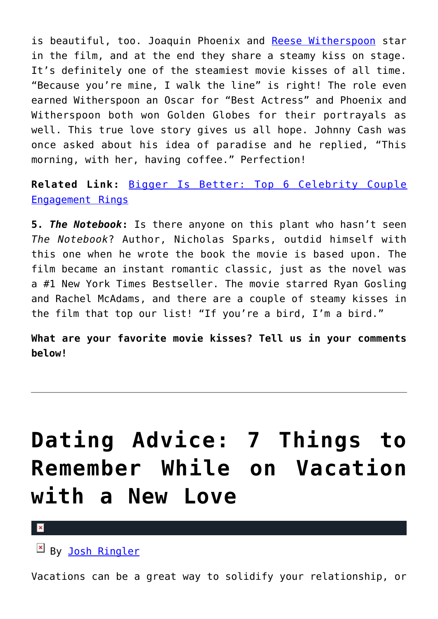is beautiful, too. Joaquin Phoenix and [Reese Witherspoon](http://cupidspulse.com/87698/reese-witherspoon/) star in the film, and at the end they share a steamy kiss on stage. It's definitely one of the steamiest movie kisses of all time. "Because you're mine, I walk the line" is right! The role even earned Witherspoon an Oscar for "Best Actress" and Phoenix and Witherspoon both won Golden Globes for their portrayals as well. This true love story gives us all hope. Johnny Cash was once asked about his idea of paradise and he replied, "This morning, with her, having coffee." Perfection!

**Related Link:** [Bigger Is Better: Top 6 Celebrity Couple](http://cupidspulse.com/112312/celebrity-couple-engagement-rings/) [Engagement Rings](http://cupidspulse.com/112312/celebrity-couple-engagement-rings/)

**5.** *The Notebook***:** Is there anyone on this plant who hasn't seen *The Notebook*? Author, Nicholas Sparks, outdid himself with this one when he wrote the book the movie is based upon. The film became an instant romantic classic, just as the novel was a #1 New York Times Bestseller. The movie starred Ryan Gosling and Rachel McAdams, and there are a couple of steamy kisses in the film that top our list! "If you're a bird, I'm a bird."

**What are your favorite movie kisses? Tell us in your comments below!**

## **[Dating Advice: 7 Things to](https://cupidspulse.com/113488/dating-advice-vacation-with-new-love/) [Remember While on Vacation](https://cupidspulse.com/113488/dating-advice-vacation-with-new-love/) [with a New Love](https://cupidspulse.com/113488/dating-advice-vacation-with-new-love/)**

 $\pmb{\times}$ 

 $\mathbb{E}$  By [Josh Ringler](http://cupidspulse.com/107401/josh-ringler/)

Vacations can be a great way to solidify your relationship, or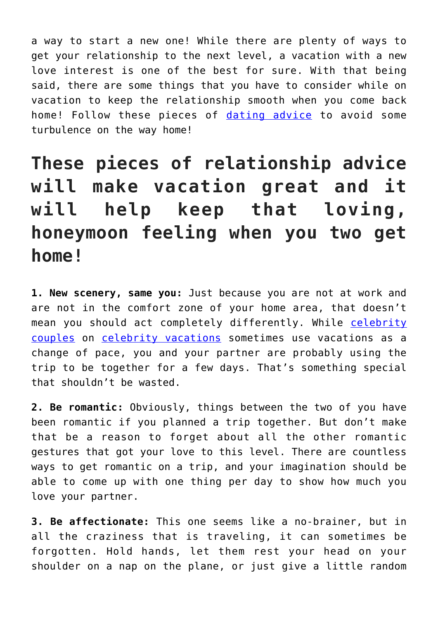a way to start a new one! While there are plenty of ways to get your relationship to the next level, a vacation with a new love interest is one of the best for sure. With that being said, there are some things that you have to consider while on vacation to keep the relationship smooth when you come back home! Follow these pieces of [dating advice](http://cupidspulse.com/relationship-experts/) to avoid some turbulence on the way home!

### **These pieces of relationship advice will make vacation great and it will help keep that loving, honeymoon feeling when you two get home!**

**1. New scenery, same you:** Just because you are not at work and are not in the comfort zone of your home area, that doesn't mean you should act completely differently. While [celebrity](http://cupidspulse.com/celebrity-relationships/long-term-relationships-flings/) [couples](http://cupidspulse.com/celebrity-relationships/long-term-relationships-flings/) on [celebrity vacations](http://cupidspulse.com/celebrity-relationships/celebrity-vacations/) sometimes use vacations as a change of pace, you and your partner are probably using the trip to be together for a few days. That's something special that shouldn't be wasted.

**2. Be romantic:** Obviously, things between the two of you have been romantic if you planned a trip together. But don't make that be a reason to forget about all the other romantic gestures that got your love to this level. There are countless ways to get romantic on a trip, and your imagination should be able to come up with one thing per day to show how much you love your partner.

**3. Be affectionate:** This one seems like a no-brainer, but in all the craziness that is traveling, it can sometimes be forgotten. Hold hands, let them rest your head on your shoulder on a nap on the plane, or just give a little random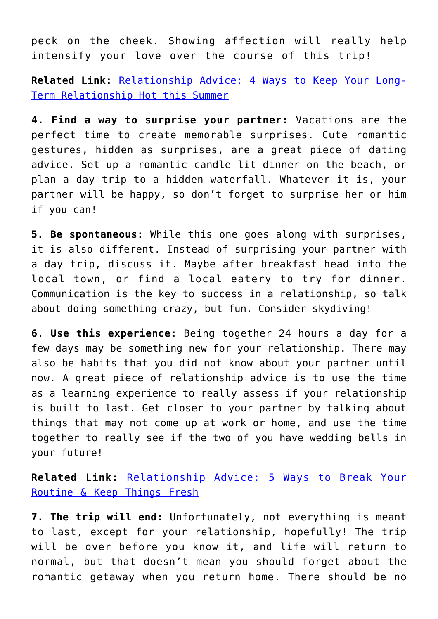peck on the cheek. Showing affection will really help intensify your love over the course of this trip!

**Related Link:** [Relationship Advice: 4 Ways to Keep Your Long-](http://cupidspulse.com/111081/relationship-advice-keep-long-term-relationship-hot-summer/)[Term Relationship Hot this Summer](http://cupidspulse.com/111081/relationship-advice-keep-long-term-relationship-hot-summer/)

**4. Find a way to surprise your partner:** Vacations are the perfect time to create memorable surprises. Cute romantic gestures, hidden as surprises, are a great piece of dating advice. Set up a romantic candle lit dinner on the beach, or plan a day trip to a hidden waterfall. Whatever it is, your partner will be happy, so don't forget to surprise her or him if you can!

**5. Be spontaneous:** While this one goes along with surprises, it is also different. Instead of surprising your partner with a day trip, discuss it. Maybe after breakfast head into the local town, or find a local eatery to try for dinner. Communication is the key to success in a relationship, so talk about doing something crazy, but fun. Consider skydiving!

**6. Use this experience:** Being together 24 hours a day for a few days may be something new for your relationship. There may also be habits that you did not know about your partner until now. A great piece of relationship advice is to use the time as a learning experience to really assess if your relationship is built to last. Get closer to your partner by talking about things that may not come up at work or home, and use the time together to really see if the two of you have wedding bells in your future!

**Related Link:** [Relationship Advice: 5 Ways to Break Your](http://cupidspulse.com/108940/relationship-advice-break-routine-keep-things-fresh/) [Routine & Keep Things Fresh](http://cupidspulse.com/108940/relationship-advice-break-routine-keep-things-fresh/)

**7. The trip will end:** Unfortunately, not everything is meant to last, except for your relationship, hopefully! The trip will be over before you know it, and life will return to normal, but that doesn't mean you should forget about the romantic getaway when you return home. There should be no